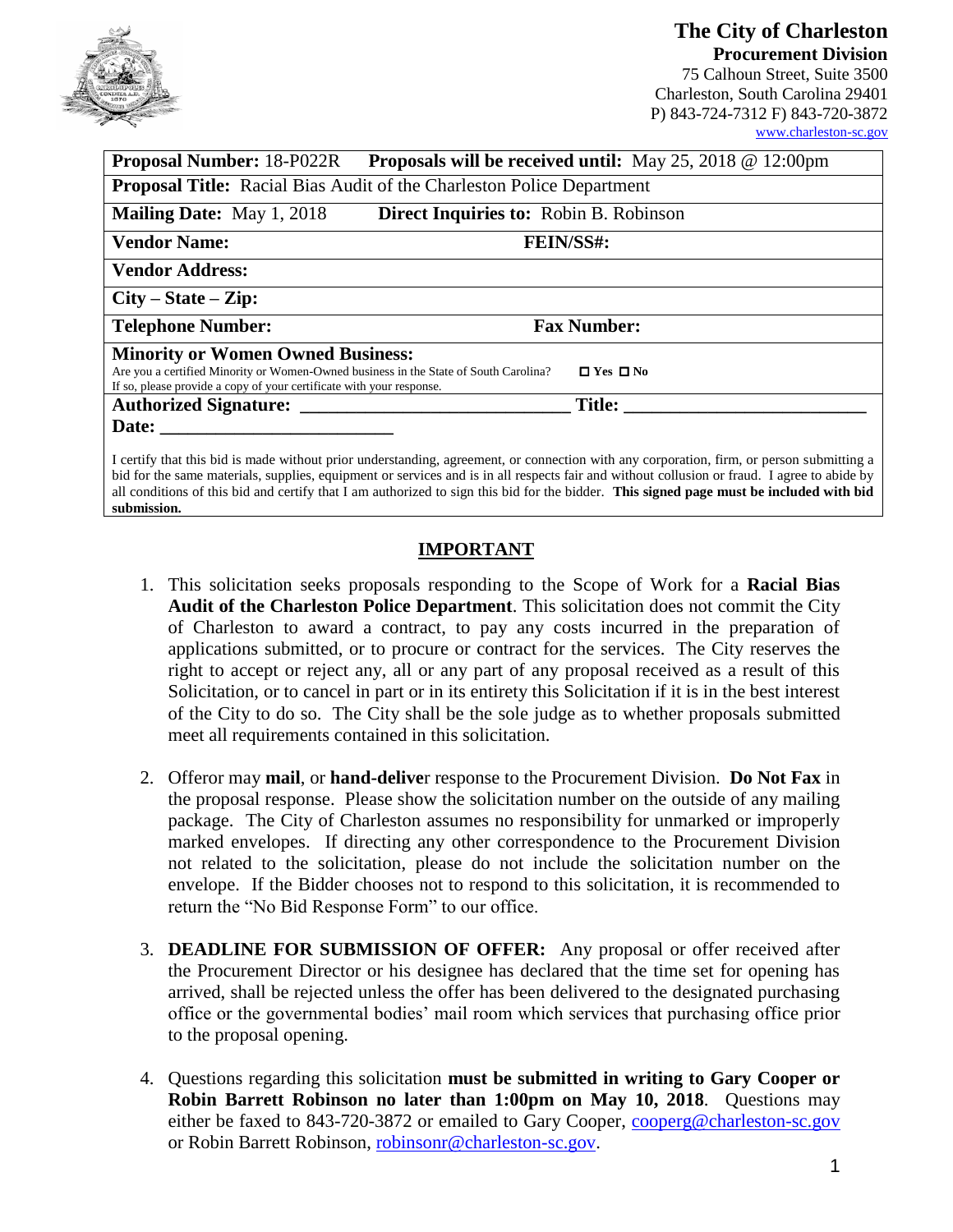

# **The City of Charleston Procurement Division**

75 Calhoun Street, Suite 3500 Charleston, South Carolina 29401 P) 843-724-7312 F) 843-720-3872 [www.charleston-sc.gov](http://www.charleston-sc.gov/)

| <b>Proposal Number: 18-P022R</b>                                                                                                                             | <b>Proposals will be received until:</b> May 25, 2018 $\omega$ 12:00pm                                          |
|--------------------------------------------------------------------------------------------------------------------------------------------------------------|-----------------------------------------------------------------------------------------------------------------|
|                                                                                                                                                              | <b>Proposal Title:</b> Racial Bias Audit of the Charleston Police Department                                    |
| <b>Mailing Date:</b> May 1, 2018                                                                                                                             | Direct Inquiries to: Robin B. Robinson                                                                          |
| <b>Vendor Name:</b>                                                                                                                                          | <b>FEIN/SS#:</b>                                                                                                |
| <b>Vendor Address:</b>                                                                                                                                       |                                                                                                                 |
| $City - State - Zip:$                                                                                                                                        |                                                                                                                 |
| <b>Telephone Number:</b>                                                                                                                                     | <b>Fax Number:</b>                                                                                              |
| <b>Minority or Women Owned Business:</b>                                                                                                                     |                                                                                                                 |
| Are you a certified Minority or Women-Owned business in the State of South Carolina?<br>If so, please provide a copy of your certificate with your response. | $\Box$ Yes $\Box$ No                                                                                            |
| <b>Authorized Signature:</b>                                                                                                                                 | <b>Title:</b>                                                                                                   |
| Date:                                                                                                                                                        |                                                                                                                 |
|                                                                                                                                                              | the second content to the content of the content of the content of the content of the content of the content of |

I certify that this bid is made without prior understanding, agreement, or connection with any corporation, firm, or person submitting a bid for the same materials, supplies, equipment or services and is in all respects fair and without collusion or fraud. I agree to abide by all conditions of this bid and certify that I am authorized to sign this bid for the bidder. **This signed page must be included with bid submission.**

# **IMPORTANT**

- 1. This solicitation seeks proposals responding to the Scope of Work for a **Racial Bias Audit of the Charleston Police Department**. This solicitation does not commit the City of Charleston to award a contract, to pay any costs incurred in the preparation of applications submitted, or to procure or contract for the services. The City reserves the right to accept or reject any, all or any part of any proposal received as a result of this Solicitation, or to cancel in part or in its entirety this Solicitation if it is in the best interest of the City to do so. The City shall be the sole judge as to whether proposals submitted meet all requirements contained in this solicitation.
- 2. Offeror may **mail**, or **hand-delive**r response to the Procurement Division. **Do Not Fax** in the proposal response. Please show the solicitation number on the outside of any mailing package. The City of Charleston assumes no responsibility for unmarked or improperly marked envelopes. If directing any other correspondence to the Procurement Division not related to the solicitation, please do not include the solicitation number on the envelope. If the Bidder chooses not to respond to this solicitation, it is recommended to return the "No Bid Response Form" to our office.
- 3. **DEADLINE FOR SUBMISSION OF OFFER:** Any proposal or offer received after the Procurement Director or his designee has declared that the time set for opening has arrived, shall be rejected unless the offer has been delivered to the designated purchasing office or the governmental bodies' mail room which services that purchasing office prior to the proposal opening.
- 4. Questions regarding this solicitation **must be submitted in writing to Gary Cooper or Robin Barrett Robinson no later than 1:00pm on May 10, 2018**. Questions may either be faxed to 843-720-3872 or emailed to Gary Cooper, [cooperg@charleston-sc.gov](mailto:cooperg@charleston-sc.gov) or Robin Barrett Robinson, [robinsonr@charleston-sc.gov.](mailto:robinsonr@charleston-sc.gov)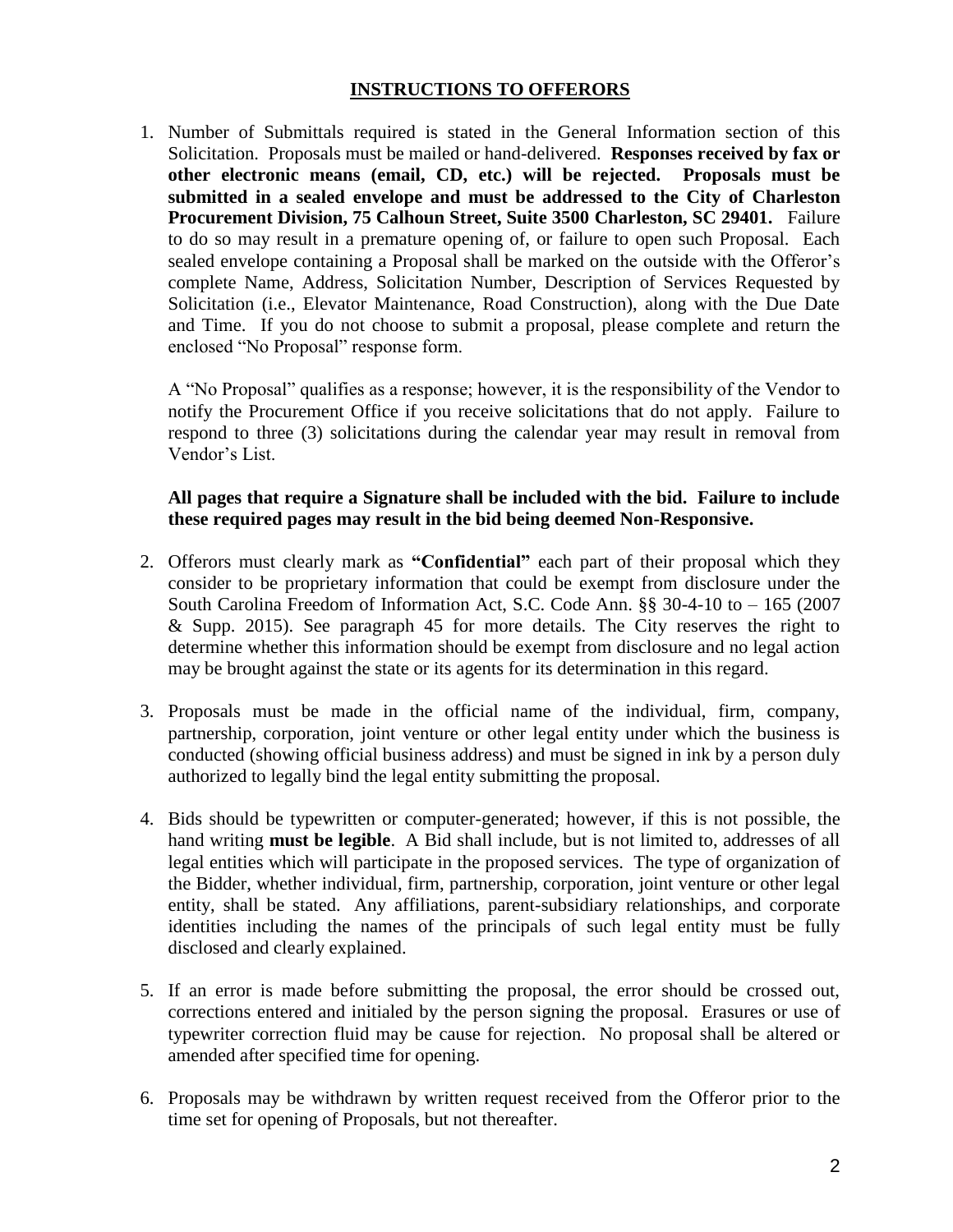## **INSTRUCTIONS TO OFFERORS**

1. Number of Submittals required is stated in the General Information section of this Solicitation. Proposals must be mailed or hand-delivered. **Responses received by fax or other electronic means (email, CD, etc.) will be rejected. Proposals must be submitted in a sealed envelope and must be addressed to the City of Charleston Procurement Division, 75 Calhoun Street, Suite 3500 Charleston, SC 29401.** Failure to do so may result in a premature opening of, or failure to open such Proposal. Each sealed envelope containing a Proposal shall be marked on the outside with the Offeror's complete Name, Address, Solicitation Number, Description of Services Requested by Solicitation (i.e., Elevator Maintenance, Road Construction), along with the Due Date and Time. If you do not choose to submit a proposal, please complete and return the enclosed "No Proposal" response form.

A "No Proposal" qualifies as a response; however, it is the responsibility of the Vendor to notify the Procurement Office if you receive solicitations that do not apply. Failure to respond to three (3) solicitations during the calendar year may result in removal from Vendor's List.

#### **All pages that require a Signature shall be included with the bid. Failure to include these required pages may result in the bid being deemed Non-Responsive.**

- 2. Offerors must clearly mark as **"Confidential"** each part of their proposal which they consider to be proprietary information that could be exempt from disclosure under the South Carolina Freedom of Information Act, S.C. Code Ann. §§ 30-4-10 to – 165 (2007 & Supp. 2015). See paragraph 45 for more details. The City reserves the right to determine whether this information should be exempt from disclosure and no legal action may be brought against the state or its agents for its determination in this regard.
- 3. Proposals must be made in the official name of the individual, firm, company, partnership, corporation, joint venture or other legal entity under which the business is conducted (showing official business address) and must be signed in ink by a person duly authorized to legally bind the legal entity submitting the proposal.
- 4. Bids should be typewritten or computer-generated; however, if this is not possible, the hand writing **must be legible**. A Bid shall include, but is not limited to, addresses of all legal entities which will participate in the proposed services. The type of organization of the Bidder, whether individual, firm, partnership, corporation, joint venture or other legal entity, shall be stated. Any affiliations, parent-subsidiary relationships, and corporate identities including the names of the principals of such legal entity must be fully disclosed and clearly explained.
- 5. If an error is made before submitting the proposal, the error should be crossed out, corrections entered and initialed by the person signing the proposal. Erasures or use of typewriter correction fluid may be cause for rejection. No proposal shall be altered or amended after specified time for opening.
- 6. Proposals may be withdrawn by written request received from the Offeror prior to the time set for opening of Proposals, but not thereafter.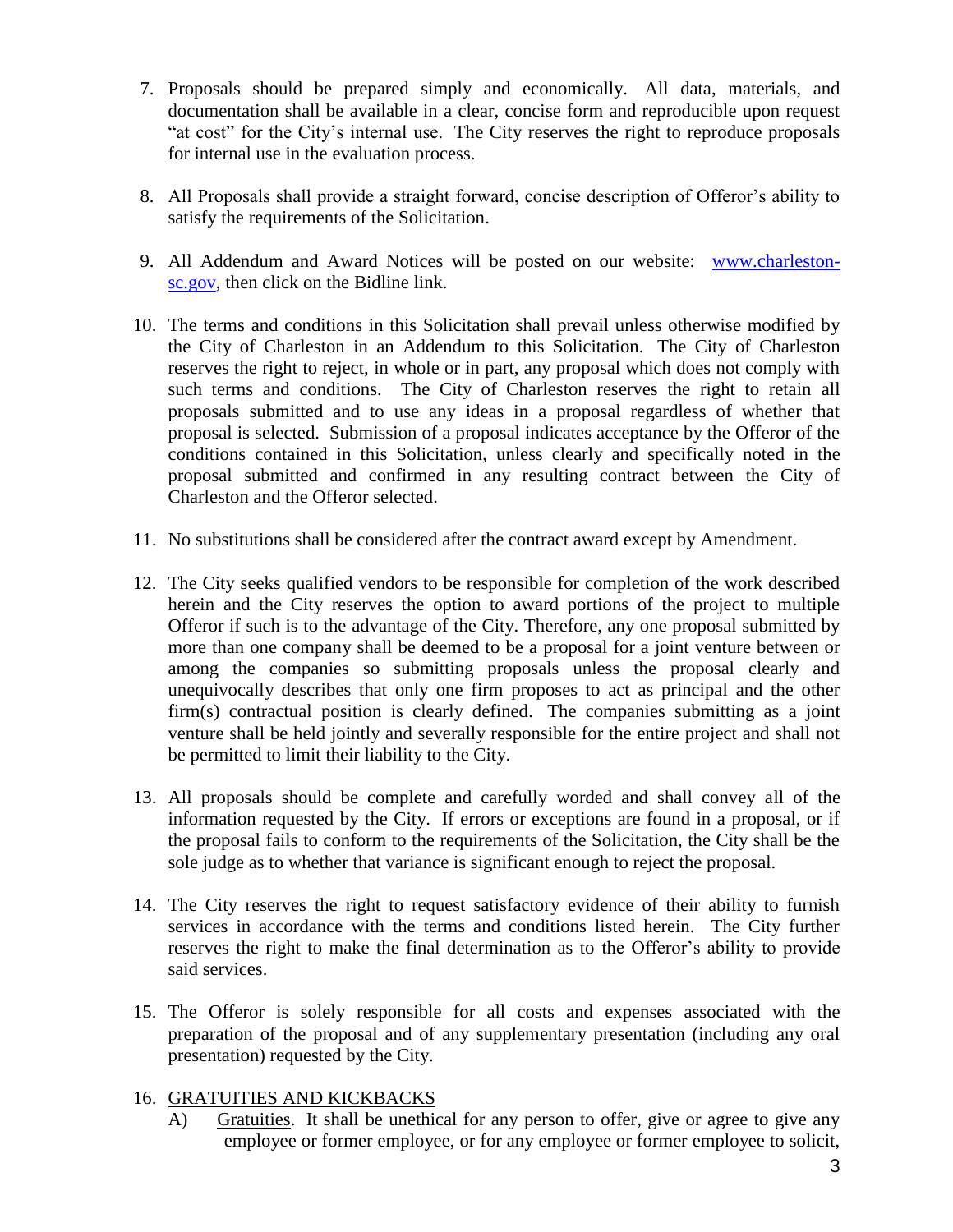- 7. Proposals should be prepared simply and economically. All data, materials, and documentation shall be available in a clear, concise form and reproducible upon request "at cost" for the City's internal use. The City reserves the right to reproduce proposals for internal use in the evaluation process.
- 8. All Proposals shall provide a straight forward, concise description of Offeror's ability to satisfy the requirements of the Solicitation.
- 9. All Addendum and Award Notices will be posted on our website: [www.charleston](http://www.charleston-sc.gov/)[sc.gov,](http://www.charleston-sc.gov/) then click on the Bidline link.
- 10. The terms and conditions in this Solicitation shall prevail unless otherwise modified by the City of Charleston in an Addendum to this Solicitation. The City of Charleston reserves the right to reject, in whole or in part, any proposal which does not comply with such terms and conditions. The City of Charleston reserves the right to retain all proposals submitted and to use any ideas in a proposal regardless of whether that proposal is selected. Submission of a proposal indicates acceptance by the Offeror of the conditions contained in this Solicitation, unless clearly and specifically noted in the proposal submitted and confirmed in any resulting contract between the City of Charleston and the Offeror selected.
- 11. No substitutions shall be considered after the contract award except by Amendment.
- 12. The City seeks qualified vendors to be responsible for completion of the work described herein and the City reserves the option to award portions of the project to multiple Offeror if such is to the advantage of the City. Therefore, any one proposal submitted by more than one company shall be deemed to be a proposal for a joint venture between or among the companies so submitting proposals unless the proposal clearly and unequivocally describes that only one firm proposes to act as principal and the other firm(s) contractual position is clearly defined. The companies submitting as a joint venture shall be held jointly and severally responsible for the entire project and shall not be permitted to limit their liability to the City.
- 13. All proposals should be complete and carefully worded and shall convey all of the information requested by the City. If errors or exceptions are found in a proposal, or if the proposal fails to conform to the requirements of the Solicitation, the City shall be the sole judge as to whether that variance is significant enough to reject the proposal.
- 14. The City reserves the right to request satisfactory evidence of their ability to furnish services in accordance with the terms and conditions listed herein. The City further reserves the right to make the final determination as to the Offeror's ability to provide said services.
- 15. The Offeror is solely responsible for all costs and expenses associated with the preparation of the proposal and of any supplementary presentation (including any oral presentation) requested by the City.

# 16. GRATUITIES AND KICKBACKS

A) Gratuities. It shall be unethical for any person to offer, give or agree to give any employee or former employee, or for any employee or former employee to solicit,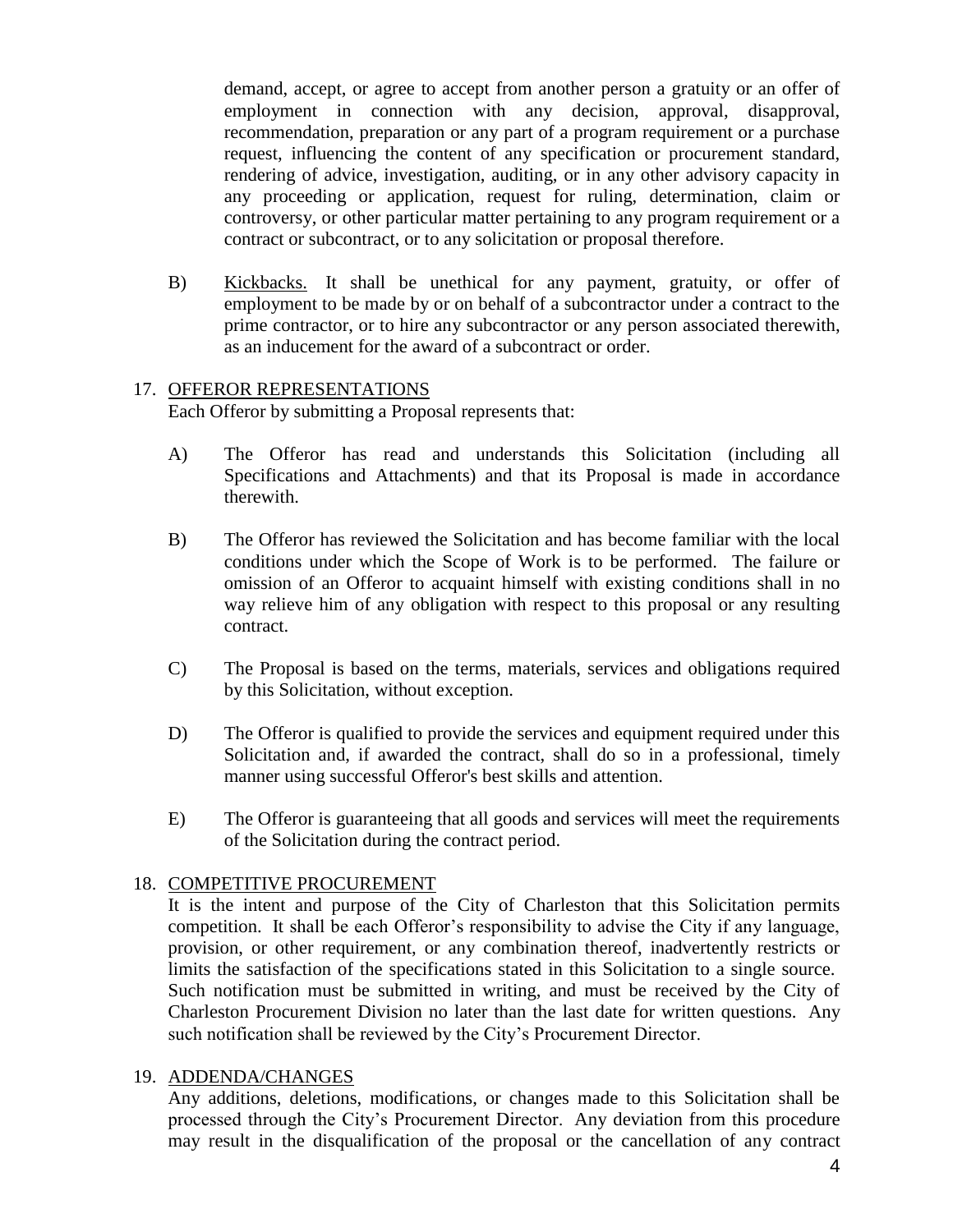demand, accept, or agree to accept from another person a gratuity or an offer of employment in connection with any decision, approval, disapproval, recommendation, preparation or any part of a program requirement or a purchase request, influencing the content of any specification or procurement standard, rendering of advice, investigation, auditing, or in any other advisory capacity in any proceeding or application, request for ruling, determination, claim or controversy, or other particular matter pertaining to any program requirement or a contract or subcontract, or to any solicitation or proposal therefore.

B) Kickbacks. It shall be unethical for any payment, gratuity, or offer of employment to be made by or on behalf of a subcontractor under a contract to the prime contractor, or to hire any subcontractor or any person associated therewith, as an inducement for the award of a subcontract or order.

# 17. OFFEROR REPRESENTATIONS

Each Offeror by submitting a Proposal represents that:

- A) The Offeror has read and understands this Solicitation (including all Specifications and Attachments) and that its Proposal is made in accordance therewith.
- B) The Offeror has reviewed the Solicitation and has become familiar with the local conditions under which the Scope of Work is to be performed. The failure or omission of an Offeror to acquaint himself with existing conditions shall in no way relieve him of any obligation with respect to this proposal or any resulting contract.
- C) The Proposal is based on the terms, materials, services and obligations required by this Solicitation, without exception.
- D) The Offeror is qualified to provide the services and equipment required under this Solicitation and, if awarded the contract, shall do so in a professional, timely manner using successful Offeror's best skills and attention.
- E) The Offeror is guaranteeing that all goods and services will meet the requirements of the Solicitation during the contract period.

# 18. COMPETITIVE PROCUREMENT

It is the intent and purpose of the City of Charleston that this Solicitation permits competition. It shall be each Offeror's responsibility to advise the City if any language, provision, or other requirement, or any combination thereof, inadvertently restricts or limits the satisfaction of the specifications stated in this Solicitation to a single source. Such notification must be submitted in writing, and must be received by the City of Charleston Procurement Division no later than the last date for written questions. Any such notification shall be reviewed by the City's Procurement Director.

#### 19. ADDENDA/CHANGES

Any additions, deletions, modifications, or changes made to this Solicitation shall be processed through the City's Procurement Director. Any deviation from this procedure may result in the disqualification of the proposal or the cancellation of any contract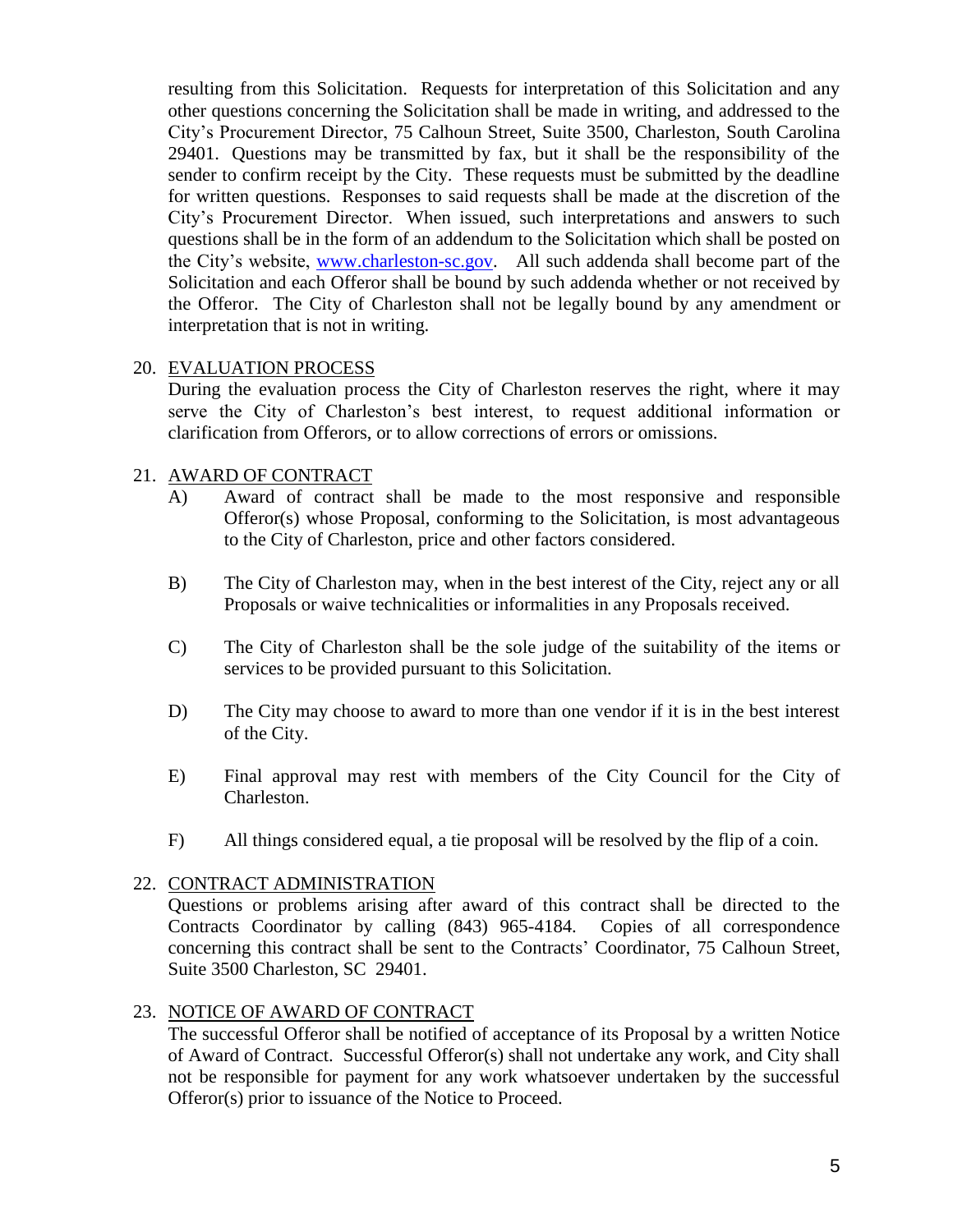resulting from this Solicitation. Requests for interpretation of this Solicitation and any other questions concerning the Solicitation shall be made in writing, and addressed to the City's Procurement Director, 75 Calhoun Street, Suite 3500, Charleston, South Carolina 29401. Questions may be transmitted by fax, but it shall be the responsibility of the sender to confirm receipt by the City. These requests must be submitted by the deadline for written questions. Responses to said requests shall be made at the discretion of the City's Procurement Director. When issued, such interpretations and answers to such questions shall be in the form of an addendum to the Solicitation which shall be posted on the City's website, [www.charleston-sc.gov.](http://www.charleston-sc.gov/) All such addenda shall become part of the Solicitation and each Offeror shall be bound by such addenda whether or not received by the Offeror. The City of Charleston shall not be legally bound by any amendment or interpretation that is not in writing.

#### 20. EVALUATION PROCESS

During the evaluation process the City of Charleston reserves the right, where it may serve the City of Charleston's best interest, to request additional information or clarification from Offerors, or to allow corrections of errors or omissions.

# 21. AWARD OF CONTRACT

- A) Award of contract shall be made to the most responsive and responsible Offeror(s) whose Proposal, conforming to the Solicitation, is most advantageous to the City of Charleston, price and other factors considered.
- B) The City of Charleston may, when in the best interest of the City, reject any or all Proposals or waive technicalities or informalities in any Proposals received.
- C) The City of Charleston shall be the sole judge of the suitability of the items or services to be provided pursuant to this Solicitation.
- D) The City may choose to award to more than one vendor if it is in the best interest of the City.
- E) Final approval may rest with members of the City Council for the City of Charleston.
- F) All things considered equal, a tie proposal will be resolved by the flip of a coin.

#### 22. CONTRACT ADMINISTRATION

Questions or problems arising after award of this contract shall be directed to the Contracts Coordinator by calling (843) 965-4184. Copies of all correspondence concerning this contract shall be sent to the Contracts' Coordinator, 75 Calhoun Street, Suite 3500 Charleston, SC 29401.

#### 23. NOTICE OF AWARD OF CONTRACT

The successful Offeror shall be notified of acceptance of its Proposal by a written Notice of Award of Contract. Successful Offeror(s) shall not undertake any work, and City shall not be responsible for payment for any work whatsoever undertaken by the successful Offeror(s) prior to issuance of the Notice to Proceed.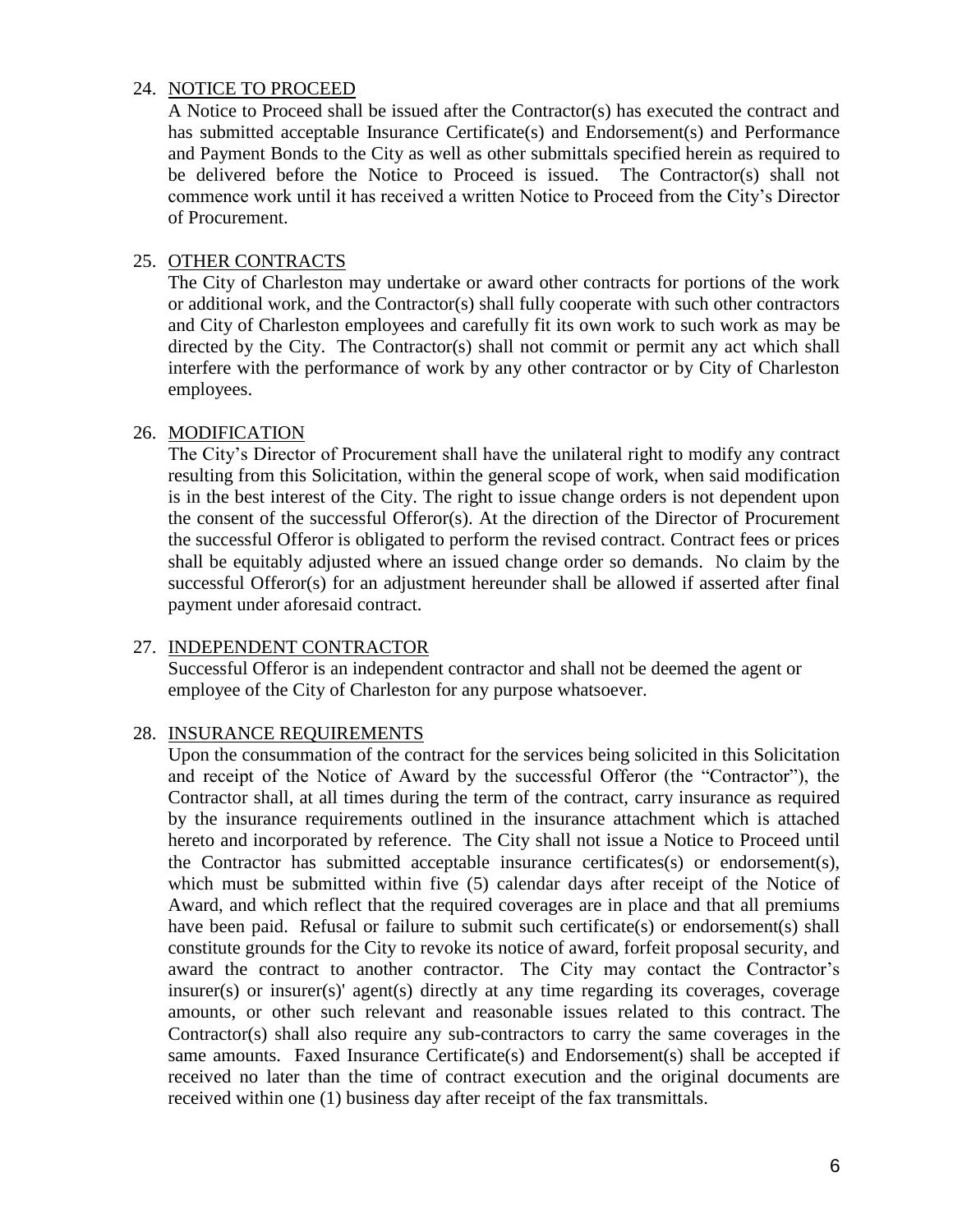#### 24. NOTICE TO PROCEED

A Notice to Proceed shall be issued after the Contractor(s) has executed the contract and has submitted acceptable Insurance Certificate(s) and Endorsement(s) and Performance and Payment Bonds to the City as well as other submittals specified herein as required to be delivered before the Notice to Proceed is issued. The Contractor(s) shall not commence work until it has received a written Notice to Proceed from the City's Director of Procurement.

# 25. OTHER CONTRACTS

The City of Charleston may undertake or award other contracts for portions of the work or additional work, and the Contractor(s) shall fully cooperate with such other contractors and City of Charleston employees and carefully fit its own work to such work as may be directed by the City. The Contractor(s) shall not commit or permit any act which shall interfere with the performance of work by any other contractor or by City of Charleston employees.

# 26. MODIFICATION

The City's Director of Procurement shall have the unilateral right to modify any contract resulting from this Solicitation, within the general scope of work, when said modification is in the best interest of the City. The right to issue change orders is not dependent upon the consent of the successful Offeror(s). At the direction of the Director of Procurement the successful Offeror is obligated to perform the revised contract. Contract fees or prices shall be equitably adjusted where an issued change order so demands. No claim by the successful Offeror(s) for an adjustment hereunder shall be allowed if asserted after final payment under aforesaid contract.

# 27. INDEPENDENT CONTRACTOR

Successful Offeror is an independent contractor and shall not be deemed the agent or employee of the City of Charleston for any purpose whatsoever.

# 28. INSURANCE REQUIREMENTS

Upon the consummation of the contract for the services being solicited in this Solicitation and receipt of the Notice of Award by the successful Offeror (the "Contractor"), the Contractor shall, at all times during the term of the contract, carry insurance as required by the insurance requirements outlined in the insurance attachment which is attached hereto and incorporated by reference. The City shall not issue a Notice to Proceed until the Contractor has submitted acceptable insurance certificates(s) or endorsement(s), which must be submitted within five (5) calendar days after receipt of the Notice of Award, and which reflect that the required coverages are in place and that all premiums have been paid. Refusal or failure to submit such certificate(s) or endorsement(s) shall constitute grounds for the City to revoke its notice of award, forfeit proposal security, and award the contract to another contractor. The City may contact the Contractor's insurer(s) or insurer(s)' agent(s) directly at any time regarding its coverages, coverage amounts, or other such relevant and reasonable issues related to this contract. The Contractor(s) shall also require any sub-contractors to carry the same coverages in the same amounts. Faxed Insurance Certificate(s) and Endorsement(s) shall be accepted if received no later than the time of contract execution and the original documents are received within one (1) business day after receipt of the fax transmittals.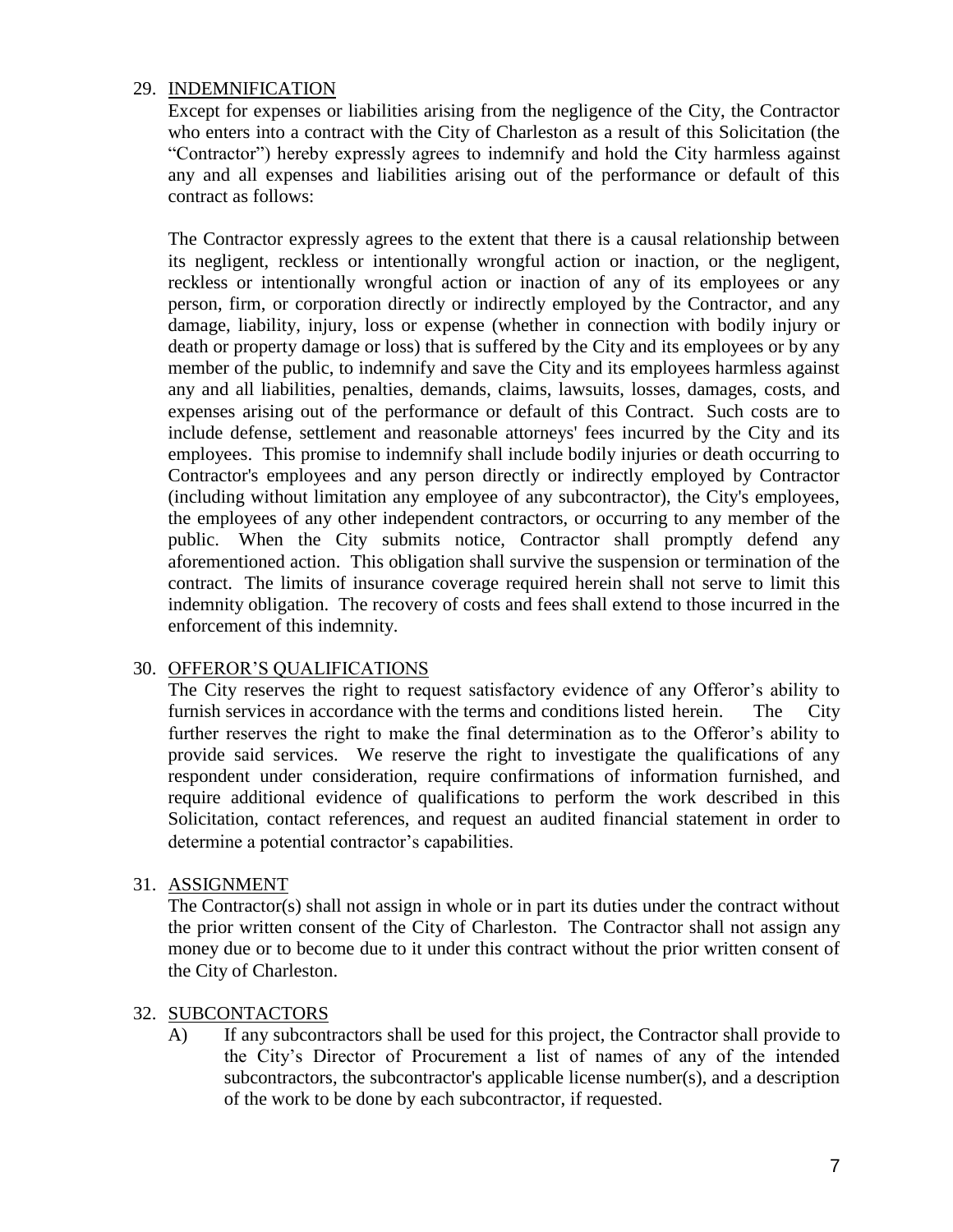#### 29. INDEMNIFICATION

Except for expenses or liabilities arising from the negligence of the City, the Contractor who enters into a contract with the City of Charleston as a result of this Solicitation (the "Contractor") hereby expressly agrees to indemnify and hold the City harmless against any and all expenses and liabilities arising out of the performance or default of this contract as follows:

The Contractor expressly agrees to the extent that there is a causal relationship between its negligent, reckless or intentionally wrongful action or inaction, or the negligent, reckless or intentionally wrongful action or inaction of any of its employees or any person, firm, or corporation directly or indirectly employed by the Contractor, and any damage, liability, injury, loss or expense (whether in connection with bodily injury or death or property damage or loss) that is suffered by the City and its employees or by any member of the public, to indemnify and save the City and its employees harmless against any and all liabilities, penalties, demands, claims, lawsuits, losses, damages, costs, and expenses arising out of the performance or default of this Contract. Such costs are to include defense, settlement and reasonable attorneys' fees incurred by the City and its employees. This promise to indemnify shall include bodily injuries or death occurring to Contractor's employees and any person directly or indirectly employed by Contractor (including without limitation any employee of any subcontractor), the City's employees, the employees of any other independent contractors, or occurring to any member of the public. When the City submits notice, Contractor shall promptly defend any aforementioned action. This obligation shall survive the suspension or termination of the contract. The limits of insurance coverage required herein shall not serve to limit this indemnity obligation. The recovery of costs and fees shall extend to those incurred in the enforcement of this indemnity.

#### 30. OFFEROR'S QUALIFICATIONS

The City reserves the right to request satisfactory evidence of any Offeror's ability to furnish services in accordance with the terms and conditions listed herein. The City further reserves the right to make the final determination as to the Offeror's ability to provide said services. We reserve the right to investigate the qualifications of any respondent under consideration, require confirmations of information furnished, and require additional evidence of qualifications to perform the work described in this Solicitation, contact references, and request an audited financial statement in order to determine a potential contractor's capabilities.

#### 31. ASSIGNMENT

The Contractor(s) shall not assign in whole or in part its duties under the contract without the prior written consent of the City of Charleston. The Contractor shall not assign any money due or to become due to it under this contract without the prior written consent of the City of Charleston.

#### 32. SUBCONTACTORS

A) If any subcontractors shall be used for this project, the Contractor shall provide to the City's Director of Procurement a list of names of any of the intended subcontractors, the subcontractor's applicable license number(s), and a description of the work to be done by each subcontractor, if requested.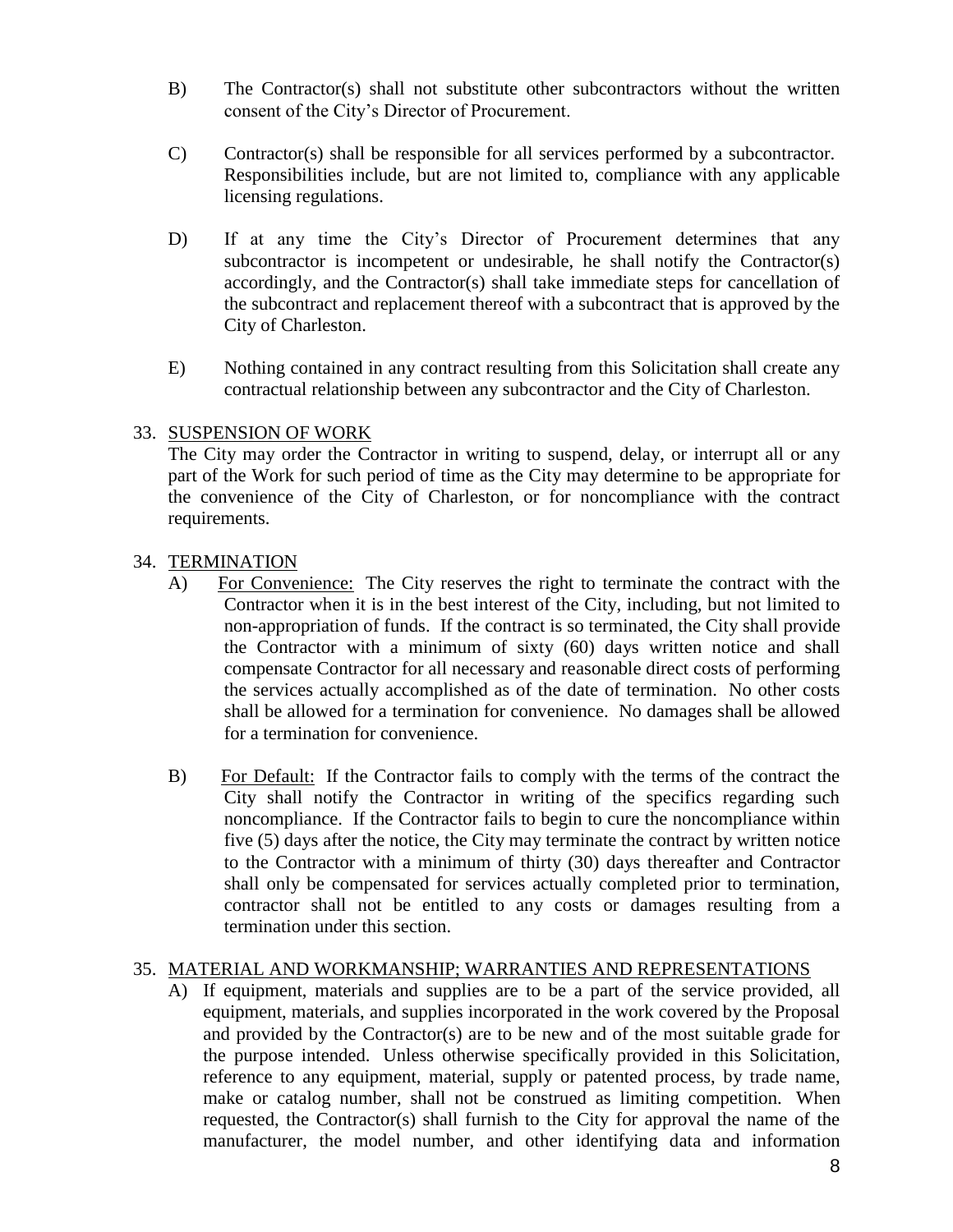- B) The Contractor(s) shall not substitute other subcontractors without the written consent of the City's Director of Procurement.
- C) Contractor(s) shall be responsible for all services performed by a subcontractor. Responsibilities include, but are not limited to, compliance with any applicable licensing regulations.
- D) If at any time the City's Director of Procurement determines that any subcontractor is incompetent or undesirable, he shall notify the Contractor(s) accordingly, and the Contractor(s) shall take immediate steps for cancellation of the subcontract and replacement thereof with a subcontract that is approved by the City of Charleston.
- E) Nothing contained in any contract resulting from this Solicitation shall create any contractual relationship between any subcontractor and the City of Charleston.

# 33. SUSPENSION OF WORK

The City may order the Contractor in writing to suspend, delay, or interrupt all or any part of the Work for such period of time as the City may determine to be appropriate for the convenience of the City of Charleston, or for noncompliance with the contract requirements.

# 34. TERMINATION

- A) For Convenience: The City reserves the right to terminate the contract with the Contractor when it is in the best interest of the City, including, but not limited to non-appropriation of funds. If the contract is so terminated, the City shall provide the Contractor with a minimum of sixty (60) days written notice and shall compensate Contractor for all necessary and reasonable direct costs of performing the services actually accomplished as of the date of termination. No other costs shall be allowed for a termination for convenience. No damages shall be allowed for a termination for convenience.
- B) For Default: If the Contractor fails to comply with the terms of the contract the City shall notify the Contractor in writing of the specifics regarding such noncompliance. If the Contractor fails to begin to cure the noncompliance within five (5) days after the notice, the City may terminate the contract by written notice to the Contractor with a minimum of thirty (30) days thereafter and Contractor shall only be compensated for services actually completed prior to termination, contractor shall not be entitled to any costs or damages resulting from a termination under this section.

# 35. MATERIAL AND WORKMANSHIP; WARRANTIES AND REPRESENTATIONS

A) If equipment, materials and supplies are to be a part of the service provided, all equipment, materials, and supplies incorporated in the work covered by the Proposal and provided by the Contractor(s) are to be new and of the most suitable grade for the purpose intended. Unless otherwise specifically provided in this Solicitation, reference to any equipment, material, supply or patented process, by trade name, make or catalog number, shall not be construed as limiting competition. When requested, the Contractor(s) shall furnish to the City for approval the name of the manufacturer, the model number, and other identifying data and information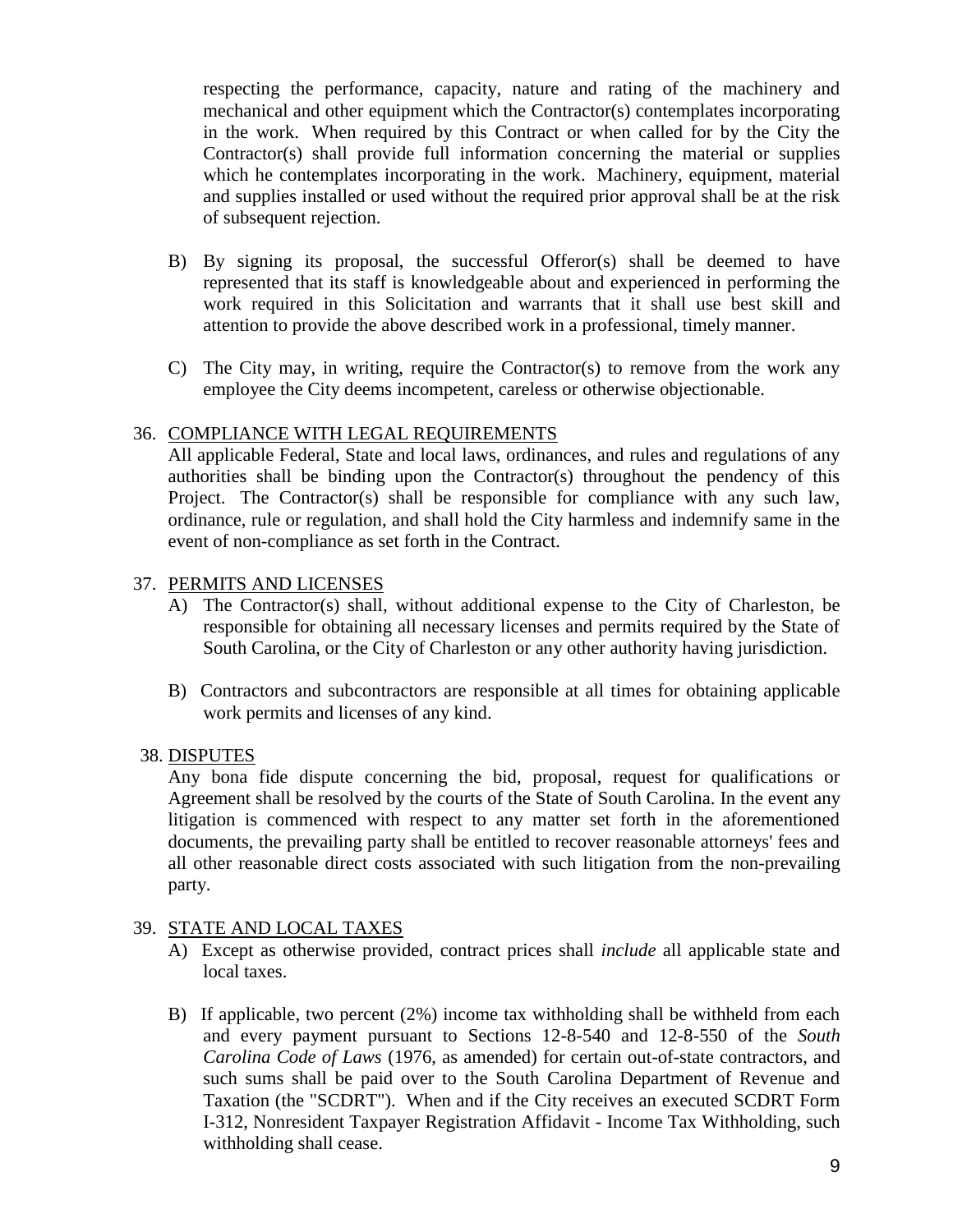respecting the performance, capacity, nature and rating of the machinery and mechanical and other equipment which the Contractor(s) contemplates incorporating in the work. When required by this Contract or when called for by the City the Contractor(s) shall provide full information concerning the material or supplies which he contemplates incorporating in the work. Machinery, equipment, material and supplies installed or used without the required prior approval shall be at the risk of subsequent rejection.

- B) By signing its proposal, the successful Offeror(s) shall be deemed to have represented that its staff is knowledgeable about and experienced in performing the work required in this Solicitation and warrants that it shall use best skill and attention to provide the above described work in a professional, timely manner.
- C) The City may, in writing, require the Contractor(s) to remove from the work any employee the City deems incompetent, careless or otherwise objectionable.

#### 36. COMPLIANCE WITH LEGAL REQUIREMENTS

All applicable Federal, State and local laws, ordinances, and rules and regulations of any authorities shall be binding upon the Contractor(s) throughout the pendency of this Project. The Contractor(s) shall be responsible for compliance with any such law, ordinance, rule or regulation, and shall hold the City harmless and indemnify same in the event of non-compliance as set forth in the Contract.

#### 37. PERMITS AND LICENSES

- A) The Contractor(s) shall, without additional expense to the City of Charleston, be responsible for obtaining all necessary licenses and permits required by the State of South Carolina, or the City of Charleston or any other authority having jurisdiction.
- B) Contractors and subcontractors are responsible at all times for obtaining applicable work permits and licenses of any kind.

#### 38. DISPUTES

Any bona fide dispute concerning the bid, proposal, request for qualifications or Agreement shall be resolved by the courts of the State of South Carolina. In the event any litigation is commenced with respect to any matter set forth in the aforementioned documents, the prevailing party shall be entitled to recover reasonable attorneys' fees and all other reasonable direct costs associated with such litigation from the non-prevailing party.

#### 39. STATE AND LOCAL TAXES

- A) Except as otherwise provided, contract prices shall *include* all applicable state and local taxes.
- B) If applicable, two percent (2%) income tax withholding shall be withheld from each and every payment pursuant to Sections 12-8-540 and 12-8-550 of the *South Carolina Code of Laws* (1976, as amended) for certain out-of-state contractors, and such sums shall be paid over to the South Carolina Department of Revenue and Taxation (the "SCDRT"). When and if the City receives an executed SCDRT Form I-312, Nonresident Taxpayer Registration Affidavit - Income Tax Withholding, such withholding shall cease.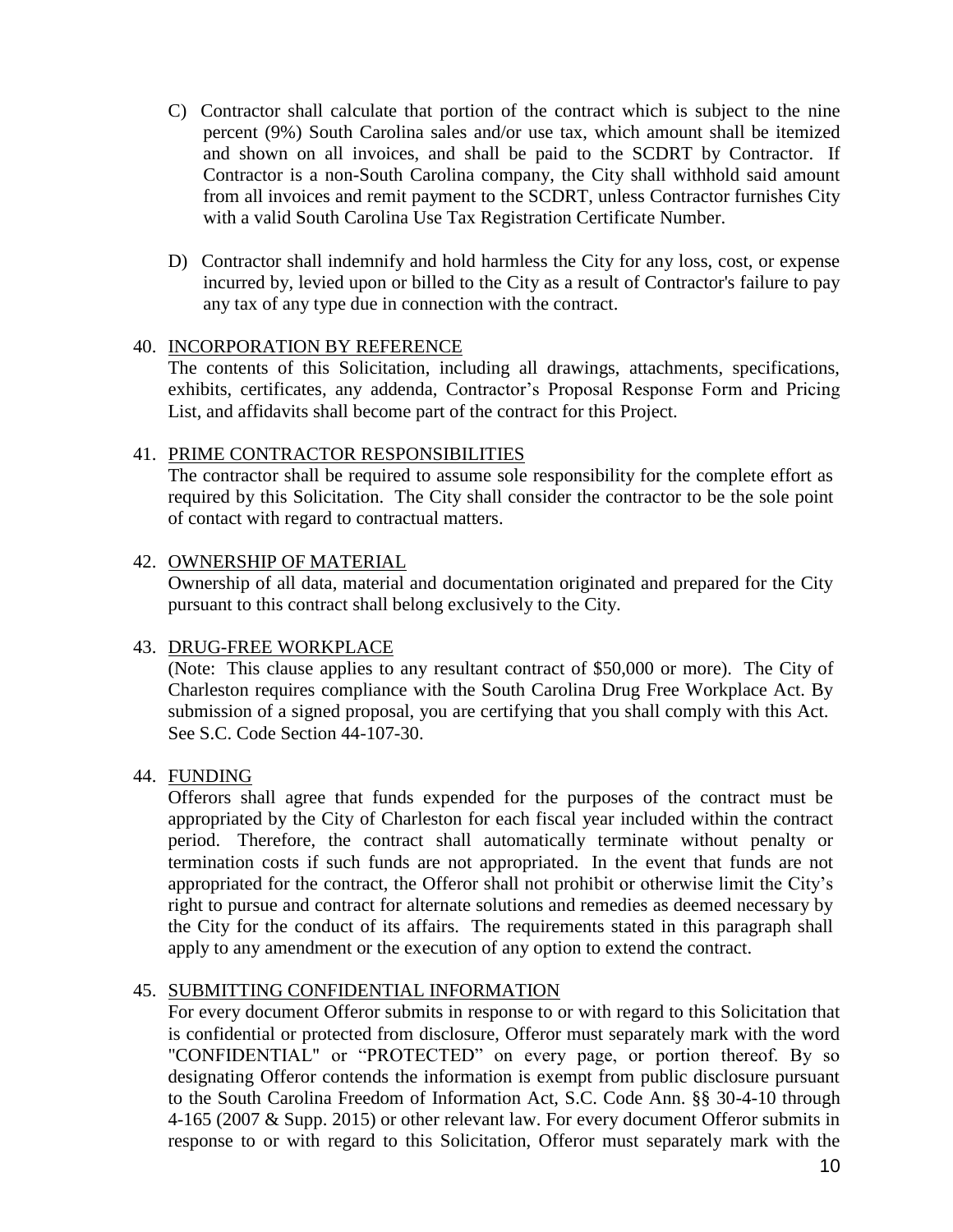- C) Contractor shall calculate that portion of the contract which is subject to the nine percent (9%) South Carolina sales and/or use tax, which amount shall be itemized and shown on all invoices, and shall be paid to the SCDRT by Contractor. If Contractor is a non-South Carolina company, the City shall withhold said amount from all invoices and remit payment to the SCDRT, unless Contractor furnishes City with a valid South Carolina Use Tax Registration Certificate Number.
- D) Contractor shall indemnify and hold harmless the City for any loss, cost, or expense incurred by, levied upon or billed to the City as a result of Contractor's failure to pay any tax of any type due in connection with the contract.

#### 40. INCORPORATION BY REFERENCE

The contents of this Solicitation, including all drawings, attachments, specifications, exhibits, certificates, any addenda, Contractor's Proposal Response Form and Pricing List, and affidavits shall become part of the contract for this Project.

#### 41. PRIME CONTRACTOR RESPONSIBILITIES

The contractor shall be required to assume sole responsibility for the complete effort as required by this Solicitation. The City shall consider the contractor to be the sole point of contact with regard to contractual matters.

#### 42. OWNERSHIP OF MATERIAL

Ownership of all data, material and documentation originated and prepared for the City pursuant to this contract shall belong exclusively to the City.

#### 43. DRUG-FREE WORKPLACE

(Note: This clause applies to any resultant contract of \$50,000 or more). The City of Charleston requires compliance with the South Carolina Drug Free Workplace Act. By submission of a signed proposal, you are certifying that you shall comply with this Act. See S.C. Code Section 44-107-30.

#### 44. FUNDING

Offerors shall agree that funds expended for the purposes of the contract must be appropriated by the City of Charleston for each fiscal year included within the contract period. Therefore, the contract shall automatically terminate without penalty or termination costs if such funds are not appropriated. In the event that funds are not appropriated for the contract, the Offeror shall not prohibit or otherwise limit the City's right to pursue and contract for alternate solutions and remedies as deemed necessary by the City for the conduct of its affairs. The requirements stated in this paragraph shall apply to any amendment or the execution of any option to extend the contract.

# 45. SUBMITTING CONFIDENTIAL INFORMATION

For every document Offeror submits in response to or with regard to this Solicitation that is confidential or protected from disclosure, Offeror must separately mark with the word "CONFIDENTIAL" or "PROTECTED" on every page, or portion thereof. By so designating Offeror contends the information is exempt from public disclosure pursuant to the South Carolina Freedom of Information Act, S.C. Code Ann. §§ 30-4-10 through 4-165 (2007 & Supp. 2015) or other relevant law. For every document Offeror submits in response to or with regard to this Solicitation, Offeror must separately mark with the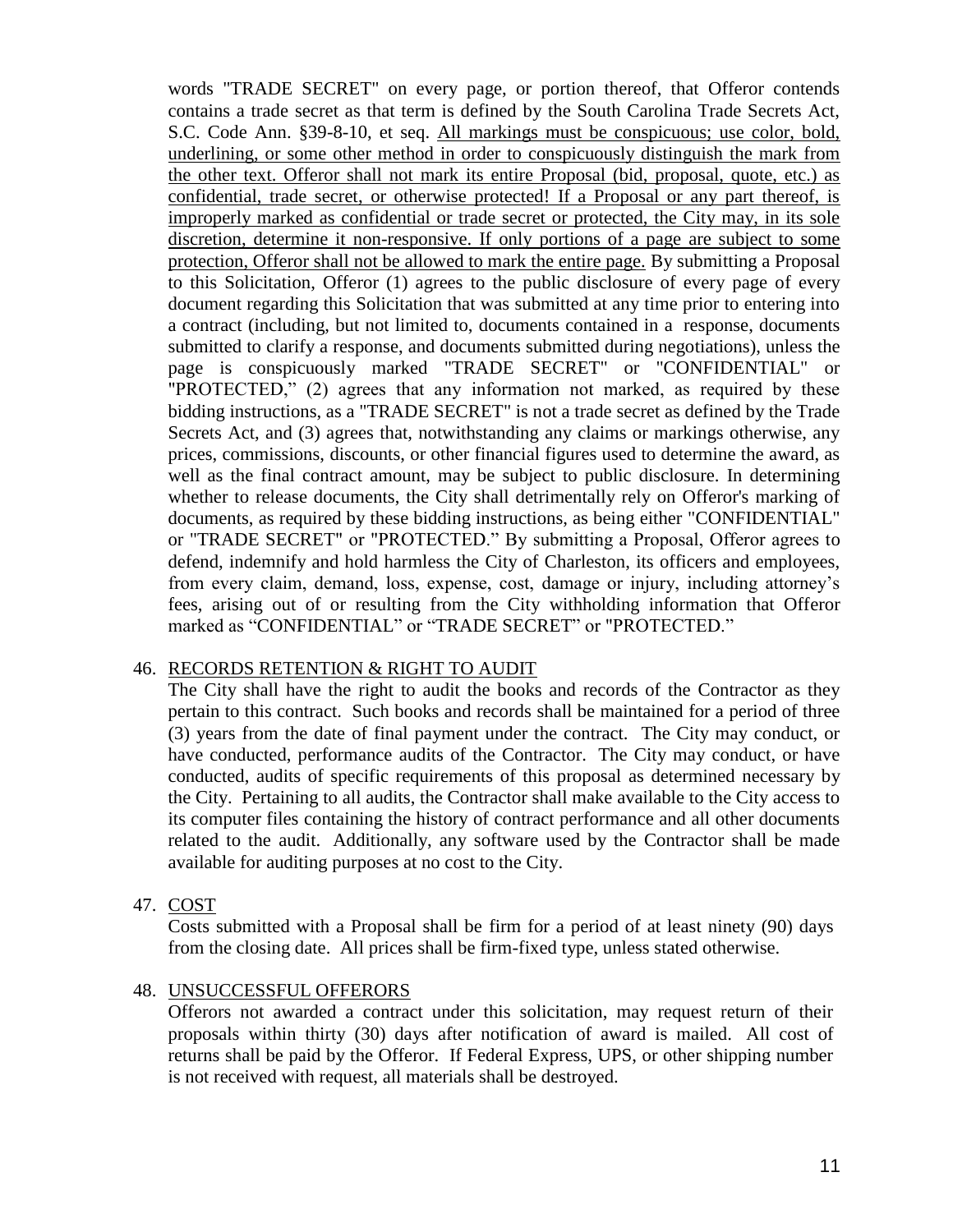words "TRADE SECRET" on every page, or portion thereof, that Offeror contends contains a trade secret as that term is defined by the South Carolina Trade Secrets Act, S.C. Code Ann. §39-8-10, et seq. All markings must be conspicuous; use color, bold, underlining, or some other method in order to conspicuously distinguish the mark from the other text. Offeror shall not mark its entire Proposal (bid, proposal, quote, etc.) as confidential, trade secret, or otherwise protected! If a Proposal or any part thereof, is improperly marked as confidential or trade secret or protected, the City may, in its sole discretion, determine it non-responsive. If only portions of a page are subject to some protection, Offeror shall not be allowed to mark the entire page. By submitting a Proposal to this Solicitation, Offeror (1) agrees to the public disclosure of every page of every document regarding this Solicitation that was submitted at any time prior to entering into a contract (including, but not limited to, documents contained in a response, documents submitted to clarify a response, and documents submitted during negotiations), unless the page is conspicuously marked "TRADE SECRET" or "CONFIDENTIAL" or "PROTECTED," (2) agrees that any information not marked, as required by these bidding instructions, as a "TRADE SECRET" is not a trade secret as defined by the Trade Secrets Act, and (3) agrees that, notwithstanding any claims or markings otherwise, any prices, commissions, discounts, or other financial figures used to determine the award, as well as the final contract amount, may be subject to public disclosure. In determining whether to release documents, the City shall detrimentally rely on Offeror's marking of documents, as required by these bidding instructions, as being either "CONFIDENTIAL" or "TRADE SECRET" or "PROTECTED." By submitting a Proposal, Offeror agrees to defend, indemnify and hold harmless the City of Charleston, its officers and employees, from every claim, demand, loss, expense, cost, damage or injury, including attorney's fees, arising out of or resulting from the City withholding information that Offeror marked as "CONFIDENTIAL" or "TRADE SECRET" or "PROTECTED."

#### 46. RECORDS RETENTION & RIGHT TO AUDIT

The City shall have the right to audit the books and records of the Contractor as they pertain to this contract. Such books and records shall be maintained for a period of three (3) years from the date of final payment under the contract. The City may conduct, or have conducted, performance audits of the Contractor. The City may conduct, or have conducted, audits of specific requirements of this proposal as determined necessary by the City. Pertaining to all audits, the Contractor shall make available to the City access to its computer files containing the history of contract performance and all other documents related to the audit. Additionally, any software used by the Contractor shall be made available for auditing purposes at no cost to the City.

#### 47. COST

Costs submitted with a Proposal shall be firm for a period of at least ninety (90) days from the closing date. All prices shall be firm-fixed type, unless stated otherwise.

# 48. UNSUCCESSFUL OFFERORS

Offerors not awarded a contract under this solicitation, may request return of their proposals within thirty (30) days after notification of award is mailed. All cost of returns shall be paid by the Offeror. If Federal Express, UPS, or other shipping number is not received with request, all materials shall be destroyed.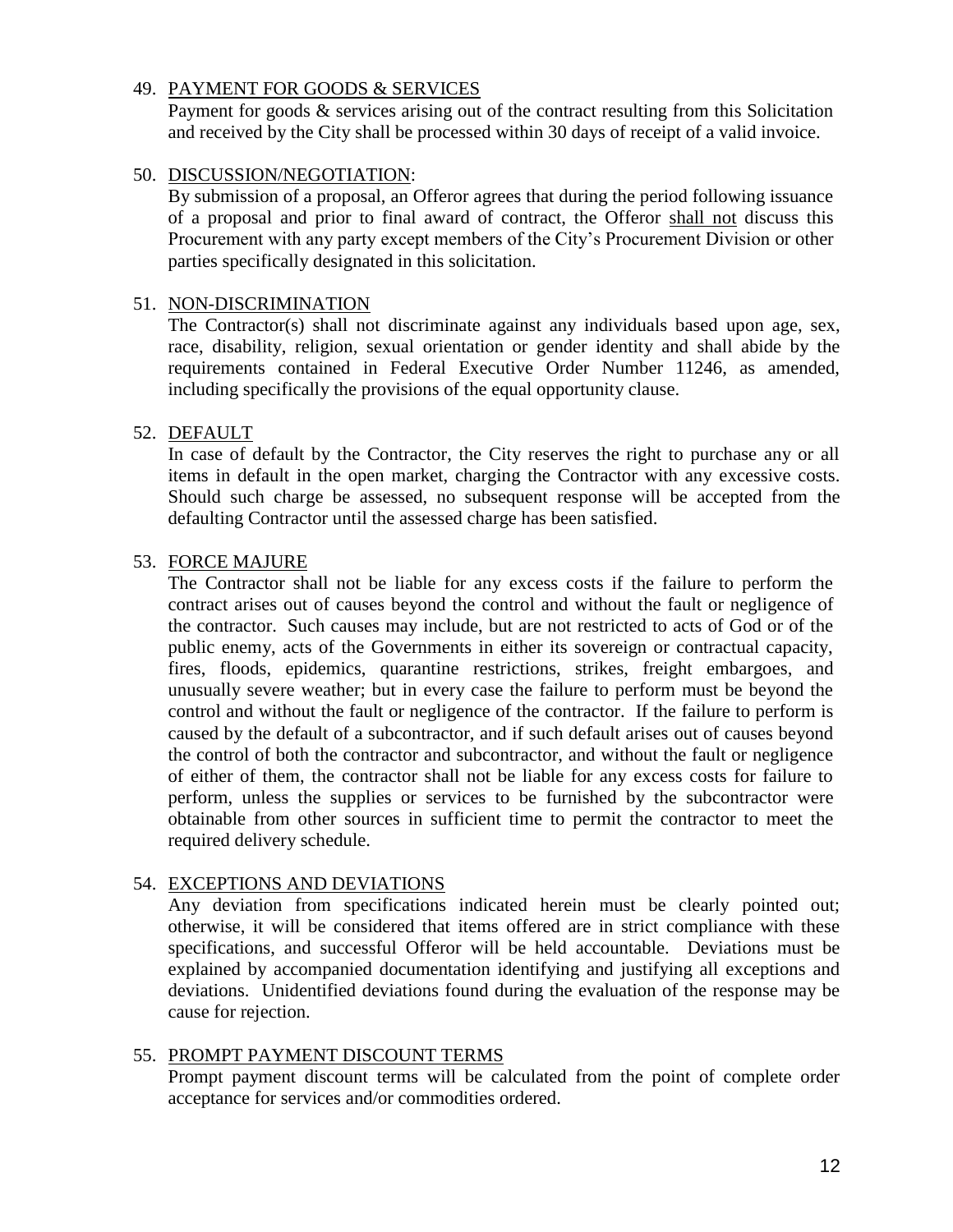#### 49. PAYMENT FOR GOODS & SERVICES

Payment for goods & services arising out of the contract resulting from this Solicitation and received by the City shall be processed within 30 days of receipt of a valid invoice.

#### 50. DISCUSSION/NEGOTIATION:

By submission of a proposal, an Offeror agrees that during the period following issuance of a proposal and prior to final award of contract, the Offeror shall not discuss this Procurement with any party except members of the City's Procurement Division or other parties specifically designated in this solicitation.

#### 51. NON-DISCRIMINATION

The Contractor(s) shall not discriminate against any individuals based upon age, sex, race, disability, religion, sexual orientation or gender identity and shall abide by the requirements contained in Federal Executive Order Number 11246, as amended, including specifically the provisions of the equal opportunity clause.

#### 52. DEFAULT

In case of default by the Contractor, the City reserves the right to purchase any or all items in default in the open market, charging the Contractor with any excessive costs. Should such charge be assessed, no subsequent response will be accepted from the defaulting Contractor until the assessed charge has been satisfied.

#### 53. FORCE MAJURE

The Contractor shall not be liable for any excess costs if the failure to perform the contract arises out of causes beyond the control and without the fault or negligence of the contractor. Such causes may include, but are not restricted to acts of God or of the public enemy, acts of the Governments in either its sovereign or contractual capacity, fires, floods, epidemics, quarantine restrictions, strikes, freight embargoes, and unusually severe weather; but in every case the failure to perform must be beyond the control and without the fault or negligence of the contractor. If the failure to perform is caused by the default of a subcontractor, and if such default arises out of causes beyond the control of both the contractor and subcontractor, and without the fault or negligence of either of them, the contractor shall not be liable for any excess costs for failure to perform, unless the supplies or services to be furnished by the subcontractor were obtainable from other sources in sufficient time to permit the contractor to meet the required delivery schedule.

#### 54. EXCEPTIONS AND DEVIATIONS

Any deviation from specifications indicated herein must be clearly pointed out; otherwise, it will be considered that items offered are in strict compliance with these specifications, and successful Offeror will be held accountable. Deviations must be explained by accompanied documentation identifying and justifying all exceptions and deviations. Unidentified deviations found during the evaluation of the response may be cause for rejection.

#### 55. PROMPT PAYMENT DISCOUNT TERMS

Prompt payment discount terms will be calculated from the point of complete order acceptance for services and/or commodities ordered.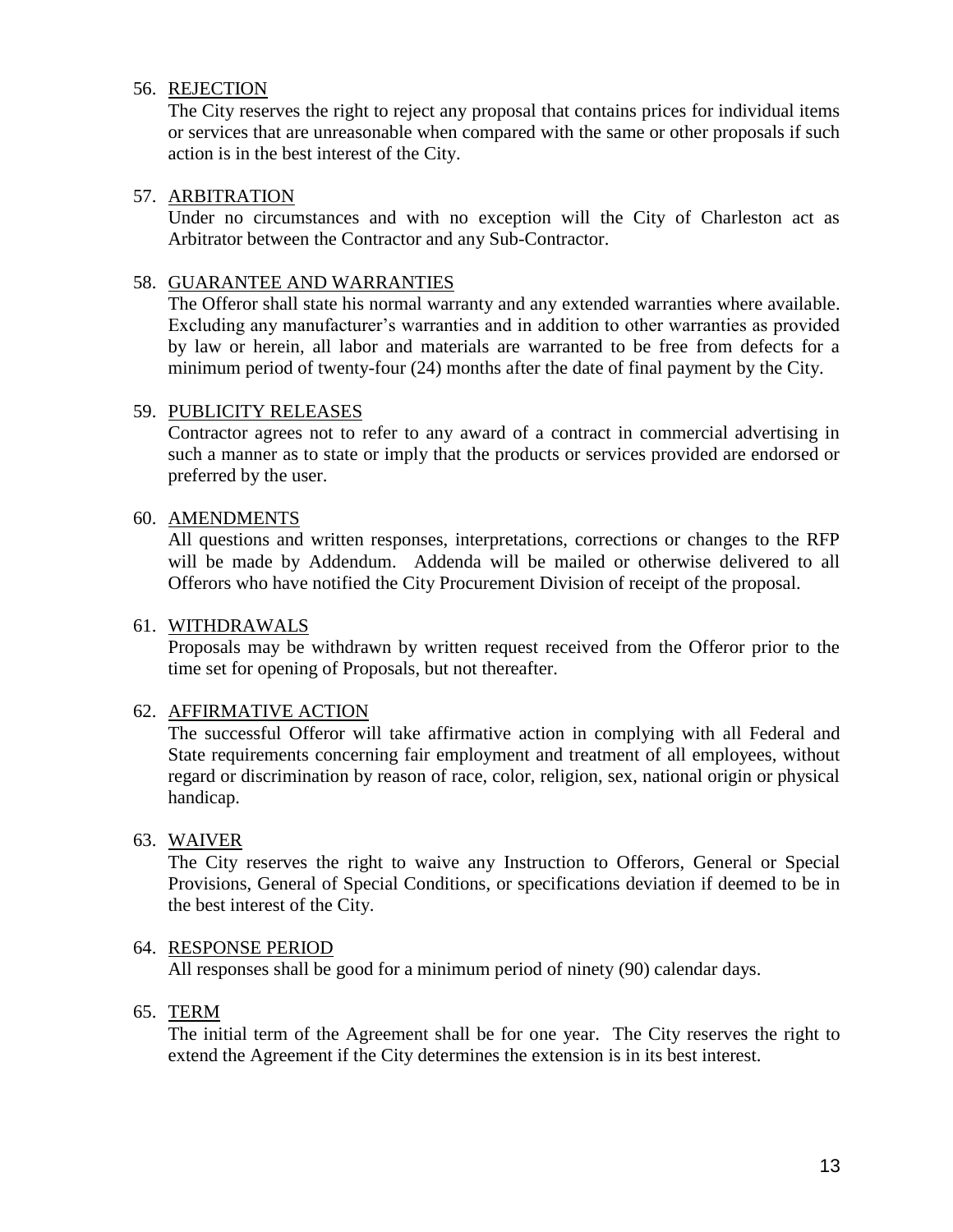#### 56. REJECTION

The City reserves the right to reject any proposal that contains prices for individual items or services that are unreasonable when compared with the same or other proposals if such action is in the best interest of the City.

#### 57. ARBITRATION

Under no circumstances and with no exception will the City of Charleston act as Arbitrator between the Contractor and any Sub-Contractor.

## 58. GUARANTEE AND WARRANTIES

The Offeror shall state his normal warranty and any extended warranties where available. Excluding any manufacturer's warranties and in addition to other warranties as provided by law or herein, all labor and materials are warranted to be free from defects for a minimum period of twenty-four (24) months after the date of final payment by the City.

#### 59. PUBLICITY RELEASES

Contractor agrees not to refer to any award of a contract in commercial advertising in such a manner as to state or imply that the products or services provided are endorsed or preferred by the user.

#### 60. AMENDMENTS

All questions and written responses, interpretations, corrections or changes to the RFP will be made by Addendum. Addenda will be mailed or otherwise delivered to all Offerors who have notified the City Procurement Division of receipt of the proposal.

#### 61. WITHDRAWALS

Proposals may be withdrawn by written request received from the Offeror prior to the time set for opening of Proposals, but not thereafter.

# 62. AFFIRMATIVE ACTION

The successful Offeror will take affirmative action in complying with all Federal and State requirements concerning fair employment and treatment of all employees, without regard or discrimination by reason of race, color, religion, sex, national origin or physical handicap.

#### 63. WAIVER

The City reserves the right to waive any Instruction to Offerors, General or Special Provisions, General of Special Conditions, or specifications deviation if deemed to be in the best interest of the City.

#### 64. RESPONSE PERIOD

All responses shall be good for a minimum period of ninety (90) calendar days.

#### 65. TERM

The initial term of the Agreement shall be for one year. The City reserves the right to extend the Agreement if the City determines the extension is in its best interest.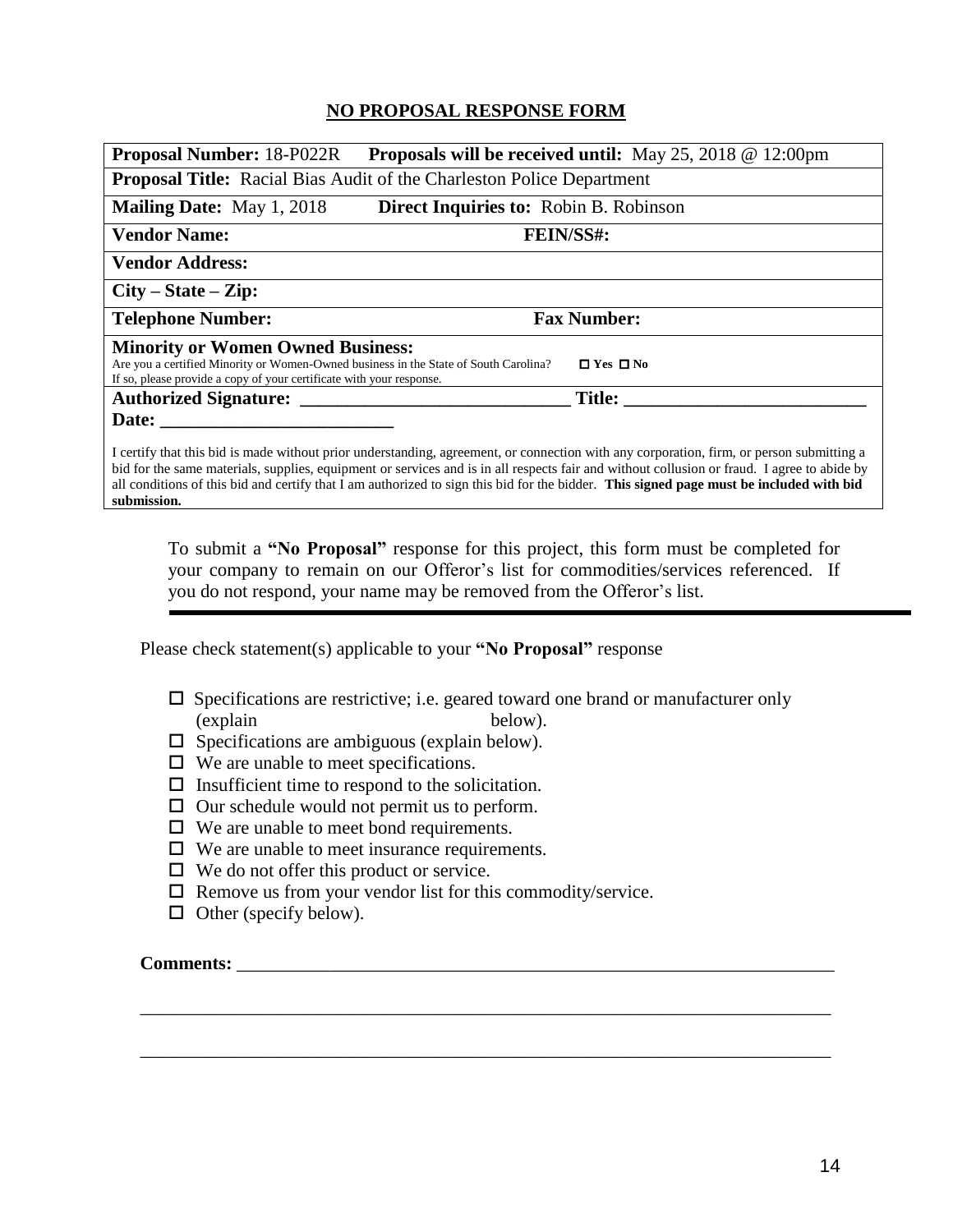## **NO PROPOSAL RESPONSE FORM**

| <b>Proposal Number: 18-P022R</b><br><b>Proposals will be received until:</b> May 25, 2018 $\omega$ 12:00pm                                                                                               |                                        |                                                                                                                                                                                                                                                                                         |  |  |
|----------------------------------------------------------------------------------------------------------------------------------------------------------------------------------------------------------|----------------------------------------|-----------------------------------------------------------------------------------------------------------------------------------------------------------------------------------------------------------------------------------------------------------------------------------------|--|--|
| <b>Proposal Title:</b> Racial Bias Audit of the Charleston Police Department                                                                                                                             |                                        |                                                                                                                                                                                                                                                                                         |  |  |
| <b>Mailing Date:</b> May 1, 2018                                                                                                                                                                         | Direct Inquiries to: Robin B. Robinson |                                                                                                                                                                                                                                                                                         |  |  |
| <b>Vendor Name:</b>                                                                                                                                                                                      |                                        | <b>FEIN/SS#:</b>                                                                                                                                                                                                                                                                        |  |  |
| <b>Vendor Address:</b>                                                                                                                                                                                   |                                        |                                                                                                                                                                                                                                                                                         |  |  |
| $City - State - Zip:$                                                                                                                                                                                    |                                        |                                                                                                                                                                                                                                                                                         |  |  |
| <b>Telephone Number:</b>                                                                                                                                                                                 |                                        | <b>Fax Number:</b>                                                                                                                                                                                                                                                                      |  |  |
| <b>Minority or Women Owned Business:</b><br>Are you a certified Minority or Women-Owned business in the State of South Carolina?<br>If so, please provide a copy of your certificate with your response. |                                        | $\Box$ Yes $\Box$ No                                                                                                                                                                                                                                                                    |  |  |
| <b>Authorized Signature:</b> ____                                                                                                                                                                        |                                        | Title:                                                                                                                                                                                                                                                                                  |  |  |
| Date:                                                                                                                                                                                                    |                                        |                                                                                                                                                                                                                                                                                         |  |  |
|                                                                                                                                                                                                          |                                        | I certify that this bid is made without prior understanding, agreement, or connection with any corporation, firm, or person submitting a<br>bid for the same materials, supplies, equipment or services and is in all respects fair and without collusion or fraud. I agree to abide by |  |  |

all conditions of this bid and certify that I am authorized to sign this bid for the bidder. **This signed page must be included with bid submission.**

To submit a **"No Proposal"** response for this project, this form must be completed for your company to remain on our Offeror's list for commodities/services referenced. If you do not respond, your name may be removed from the Offeror's list.

Please check statement(s) applicable to your **"No Proposal"** response

 $\square$  Specifications are restrictive; i.e. geared toward one brand or manufacturer only (explain below).

\_\_\_\_\_\_\_\_\_\_\_\_\_\_\_\_\_\_\_\_\_\_\_\_\_\_\_\_\_\_\_\_\_\_\_\_\_\_\_\_\_\_\_\_\_\_\_\_\_\_\_\_\_\_\_\_\_\_\_\_\_\_\_\_\_\_\_\_\_\_\_\_\_\_

\_\_\_\_\_\_\_\_\_\_\_\_\_\_\_\_\_\_\_\_\_\_\_\_\_\_\_\_\_\_\_\_\_\_\_\_\_\_\_\_\_\_\_\_\_\_\_\_\_\_\_\_\_\_\_\_\_\_\_\_\_\_\_\_\_\_\_\_\_\_\_\_\_\_

- $\Box$  Specifications are ambiguous (explain below).
- $\Box$  We are unable to meet specifications.
- $\Box$  Insufficient time to respond to the solicitation.
- $\Box$  Our schedule would not permit us to perform.
- $\Box$  We are unable to meet bond requirements.
- $\Box$  We are unable to meet insurance requirements.
- $\Box$  We do not offer this product or service.
- $\Box$  Remove us from your vendor list for this commodity/service.
- $\Box$  Other (specify below).

#### **Comments:**  $\blacksquare$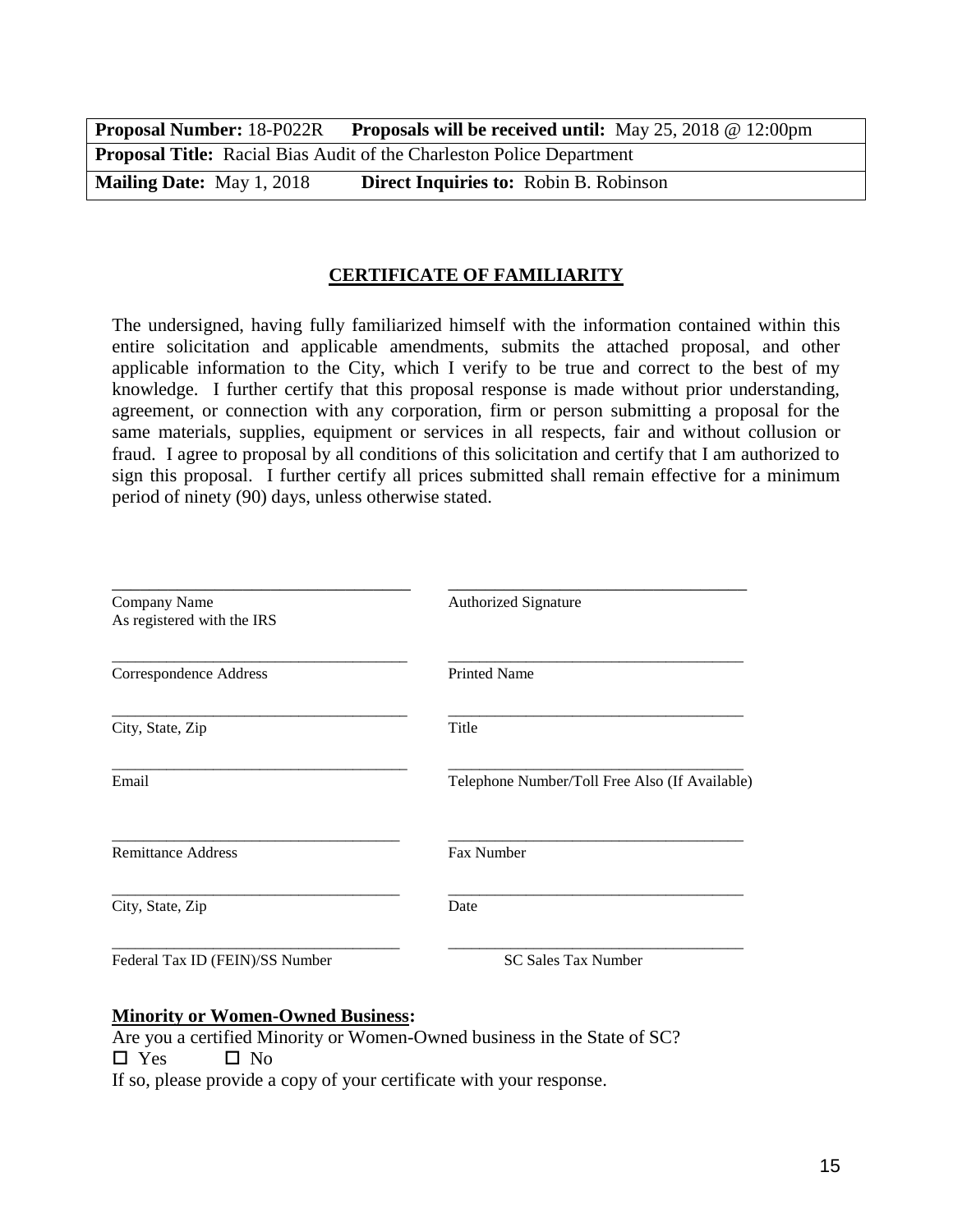| <b>Proposal Number: 18-P022R</b> | <b>Proposals will be received until:</b> May 25, 2018 $@$ 12:00pm            |
|----------------------------------|------------------------------------------------------------------------------|
|                                  | <b>Proposal Title:</b> Racial Bias Audit of the Charleston Police Department |
| <b>Mailing Date:</b> May 1, 2018 | <b>Direct Inquiries to: Robin B. Robinson</b>                                |

#### **CERTIFICATE OF FAMILIARITY**

The undersigned, having fully familiarized himself with the information contained within this entire solicitation and applicable amendments, submits the attached proposal, and other applicable information to the City, which I verify to be true and correct to the best of my knowledge. I further certify that this proposal response is made without prior understanding, agreement, or connection with any corporation, firm or person submitting a proposal for the same materials, supplies, equipment or services in all respects, fair and without collusion or fraud. I agree to proposal by all conditions of this solicitation and certify that I am authorized to sign this proposal. I further certify all prices submitted shall remain effective for a minimum period of ninety (90) days, unless otherwise stated.

| Company Name<br>As registered with the IRS | <b>Authorized Signature</b>                    |
|--------------------------------------------|------------------------------------------------|
|                                            |                                                |
| Correspondence Address                     | <b>Printed Name</b>                            |
| City, State, Zip                           | Title                                          |
| Email                                      | Telephone Number/Toll Free Also (If Available) |
| <b>Remittance Address</b>                  | Fax Number                                     |
| City, State, Zip                           | Date                                           |
| Federal Tax ID (FEIN)/SS Number            | <b>SC Sales Tax Number</b>                     |

#### **Minority or Women-Owned Business:**

Are you a certified Minority or Women-Owned business in the State of SC?  $\square$  Yes  $\square$  No If so, please provide a copy of your certificate with your response.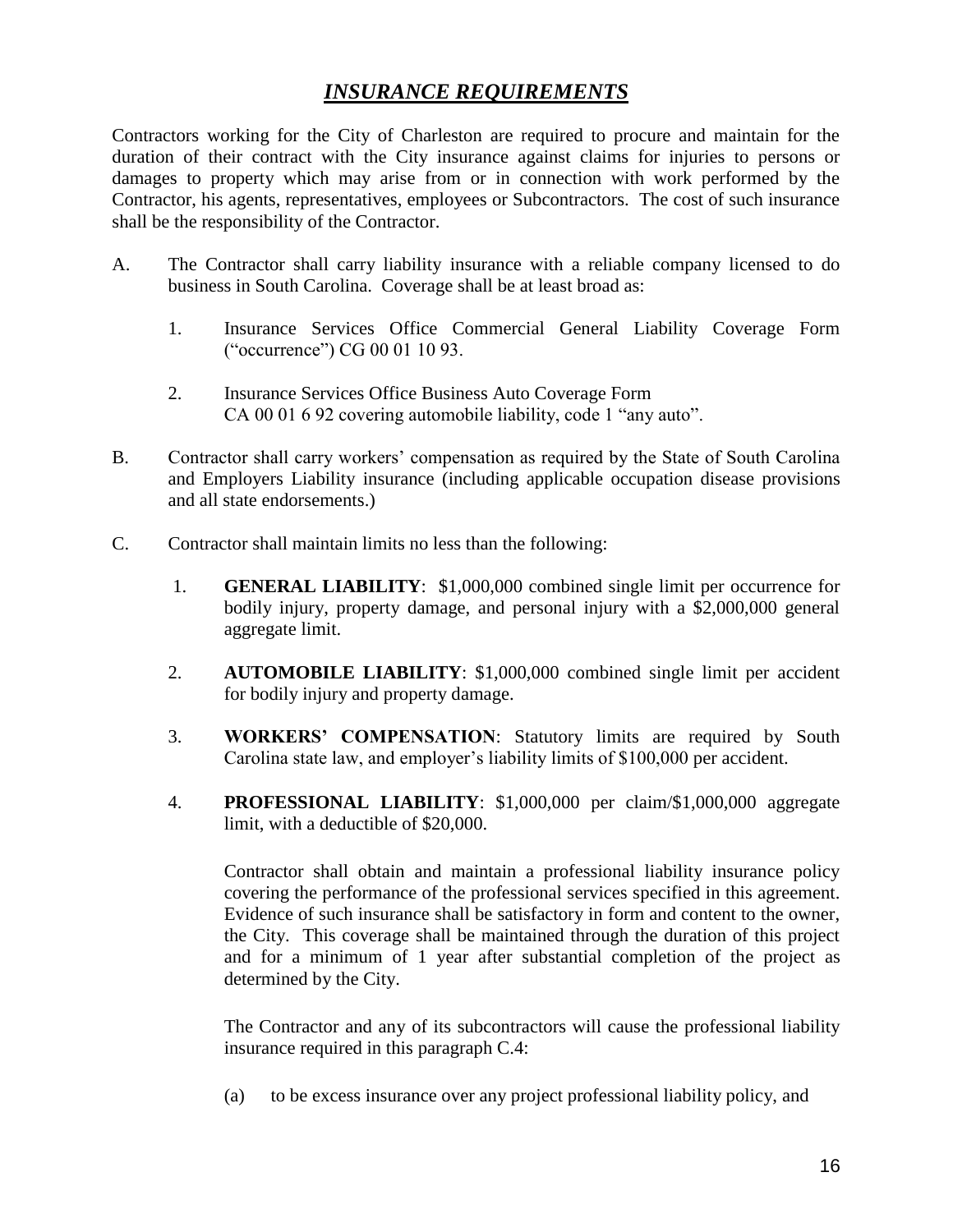# *INSURANCE REQUIREMENTS*

Contractors working for the City of Charleston are required to procure and maintain for the duration of their contract with the City insurance against claims for injuries to persons or damages to property which may arise from or in connection with work performed by the Contractor, his agents, representatives, employees or Subcontractors. The cost of such insurance shall be the responsibility of the Contractor.

- A. The Contractor shall carry liability insurance with a reliable company licensed to do business in South Carolina. Coverage shall be at least broad as:
	- 1. Insurance Services Office Commercial General Liability Coverage Form ("occurrence") CG 00 01 10 93.
	- 2. Insurance Services Office Business Auto Coverage Form CA 00 01 6 92 covering automobile liability, code 1 "any auto".
- B. Contractor shall carry workers' compensation as required by the State of South Carolina and Employers Liability insurance (including applicable occupation disease provisions and all state endorsements.)
- C. Contractor shall maintain limits no less than the following:
	- 1. **GENERAL LIABILITY**: \$1,000,000 combined single limit per occurrence for bodily injury, property damage, and personal injury with a \$2,000,000 general aggregate limit.
	- 2. **AUTOMOBILE LIABILITY**: \$1,000,000 combined single limit per accident for bodily injury and property damage.
	- 3. **WORKERS' COMPENSATION**: Statutory limits are required by South Carolina state law, and employer's liability limits of \$100,000 per accident.
	- 4. **PROFESSIONAL LIABILITY**: \$1,000,000 per claim/\$1,000,000 aggregate limit, with a deductible of \$20,000.

Contractor shall obtain and maintain a professional liability insurance policy covering the performance of the professional services specified in this agreement. Evidence of such insurance shall be satisfactory in form and content to the owner, the City. This coverage shall be maintained through the duration of this project and for a minimum of 1 year after substantial completion of the project as determined by the City.

The Contractor and any of its subcontractors will cause the professional liability insurance required in this paragraph C.4:

(a) to be excess insurance over any project professional liability policy, and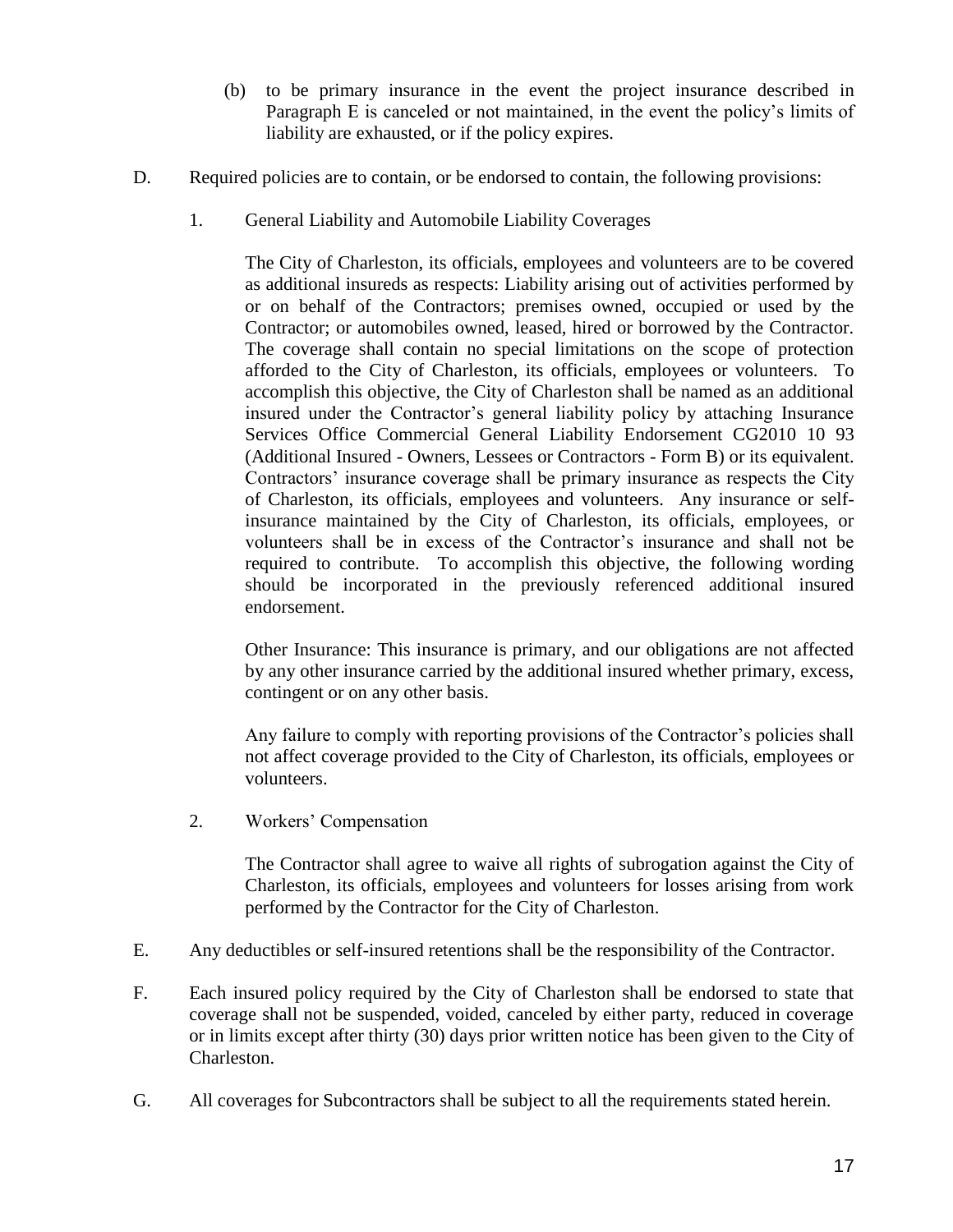- (b) to be primary insurance in the event the project insurance described in Paragraph E is canceled or not maintained, in the event the policy's limits of liability are exhausted, or if the policy expires.
- D. Required policies are to contain, or be endorsed to contain, the following provisions:
	- 1. General Liability and Automobile Liability Coverages

The City of Charleston, its officials, employees and volunteers are to be covered as additional insureds as respects: Liability arising out of activities performed by or on behalf of the Contractors; premises owned, occupied or used by the Contractor; or automobiles owned, leased, hired or borrowed by the Contractor. The coverage shall contain no special limitations on the scope of protection afforded to the City of Charleston, its officials, employees or volunteers. To accomplish this objective, the City of Charleston shall be named as an additional insured under the Contractor's general liability policy by attaching Insurance Services Office Commercial General Liability Endorsement CG2010 10 93 (Additional Insured - Owners, Lessees or Contractors - Form B) or its equivalent. Contractors' insurance coverage shall be primary insurance as respects the City of Charleston, its officials, employees and volunteers. Any insurance or selfinsurance maintained by the City of Charleston, its officials, employees, or volunteers shall be in excess of the Contractor's insurance and shall not be required to contribute. To accomplish this objective, the following wording should be incorporated in the previously referenced additional insured endorsement.

Other Insurance: This insurance is primary, and our obligations are not affected by any other insurance carried by the additional insured whether primary, excess, contingent or on any other basis.

Any failure to comply with reporting provisions of the Contractor's policies shall not affect coverage provided to the City of Charleston, its officials, employees or volunteers.

2. Workers' Compensation

The Contractor shall agree to waive all rights of subrogation against the City of Charleston, its officials, employees and volunteers for losses arising from work performed by the Contractor for the City of Charleston.

- E. Any deductibles or self-insured retentions shall be the responsibility of the Contractor.
- F. Each insured policy required by the City of Charleston shall be endorsed to state that coverage shall not be suspended, voided, canceled by either party, reduced in coverage or in limits except after thirty (30) days prior written notice has been given to the City of Charleston.
- G. All coverages for Subcontractors shall be subject to all the requirements stated herein.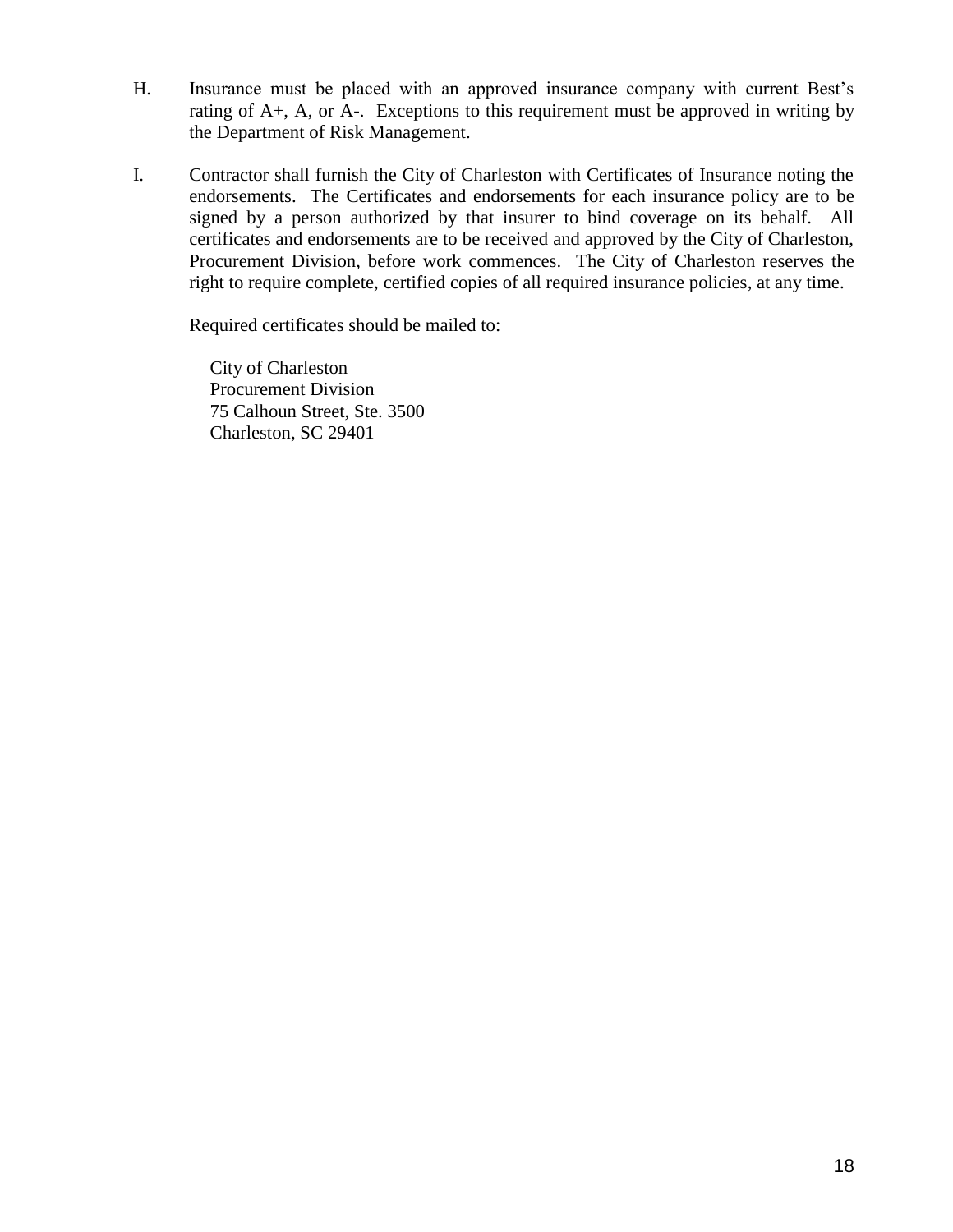- H. Insurance must be placed with an approved insurance company with current Best's rating of A+, A, or A-. Exceptions to this requirement must be approved in writing by the Department of Risk Management.
- I. Contractor shall furnish the City of Charleston with Certificates of Insurance noting the endorsements. The Certificates and endorsements for each insurance policy are to be signed by a person authorized by that insurer to bind coverage on its behalf. All certificates and endorsements are to be received and approved by the City of Charleston, Procurement Division, before work commences. The City of Charleston reserves the right to require complete, certified copies of all required insurance policies, at any time.

Required certificates should be mailed to:

City of Charleston Procurement Division 75 Calhoun Street, Ste. 3500 Charleston, SC 29401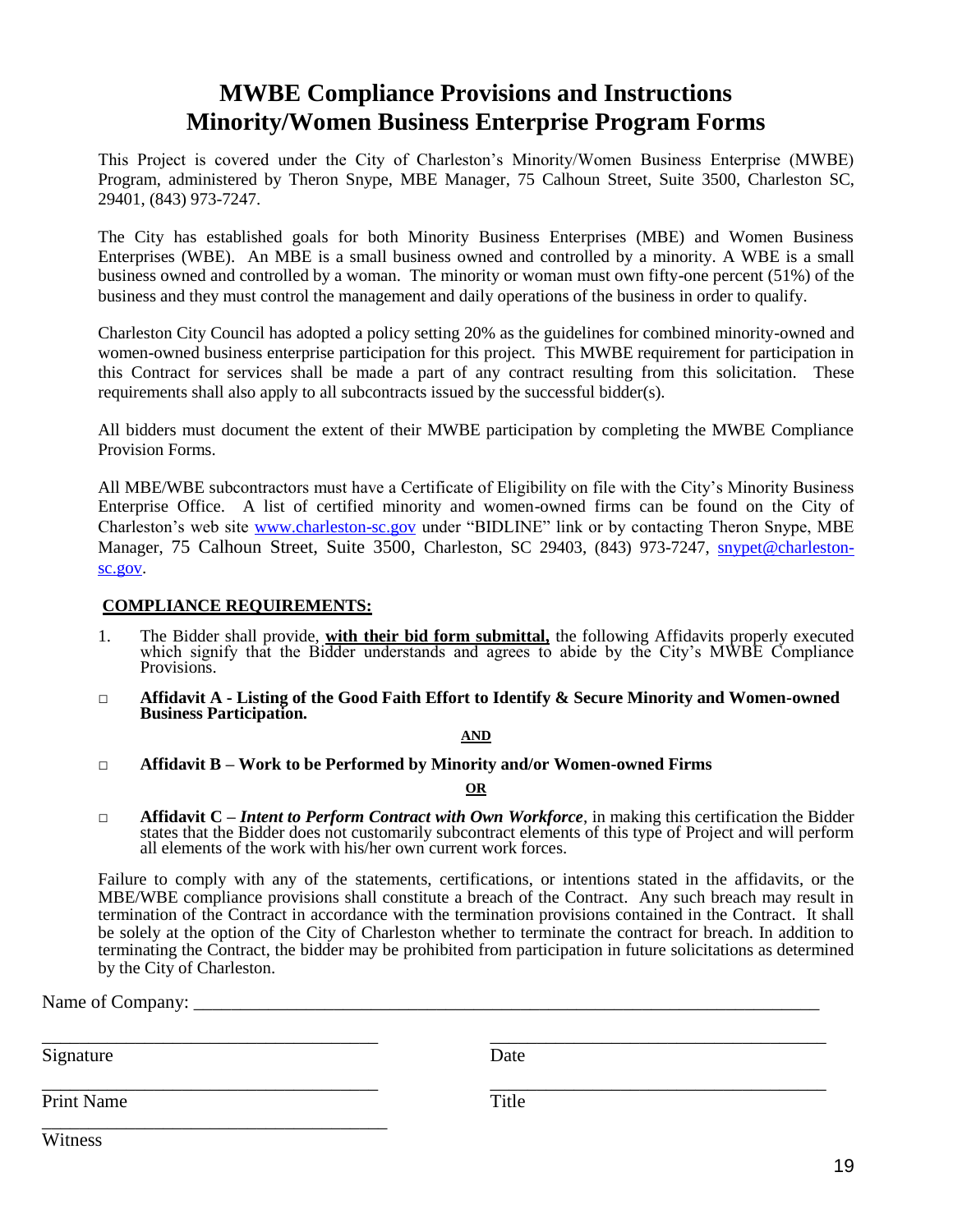# **MWBE Compliance Provisions and Instructions Minority/Women Business Enterprise Program Forms**

This Project is covered under the City of Charleston's Minority/Women Business Enterprise (MWBE) Program, administered by Theron Snype, MBE Manager, 75 Calhoun Street, Suite 3500, Charleston SC, 29401, (843) 973-7247.

The City has established goals for both Minority Business Enterprises (MBE) and Women Business Enterprises (WBE). An MBE is a small business owned and controlled by a minority. A WBE is a small business owned and controlled by a woman. The minority or woman must own fifty-one percent (51%) of the business and they must control the management and daily operations of the business in order to qualify.

Charleston City Council has adopted a policy setting 20% as the guidelines for combined minority-owned and women-owned business enterprise participation for this project. This MWBE requirement for participation in this Contract for services shall be made a part of any contract resulting from this solicitation. These requirements shall also apply to all subcontracts issued by the successful bidder(s).

All bidders must document the extent of their MWBE participation by completing the MWBE Compliance Provision Forms.

All MBE/WBE subcontractors must have a Certificate of Eligibility on file with the City's Minority Business Enterprise Office. A list of certified minority and women-owned firms can be found on the City of Charleston's web site [www.charleston-sc.gov](http://www.charleston-sc.gov/) under "BIDLINE" link or by contacting Theron Snype, MBE Manager, 75 Calhoun Street, Suite 3500, Charleston, SC 29403, (843) 973-7247, *[snypet@charleston](mailto:snypet@charleston-sc.gov)*[sc.gov.](mailto:snypet@charleston-sc.gov)

#### **COMPLIANCE REQUIREMENTS:**

- 1. The Bidder shall provide, **with their bid form submittal,** the following Affidavits properly executed which signify that the Bidder understands and agrees to abide by the City's MWBE Compliance Provisions.
- **□ Affidavit A - Listing of the Good Faith Effort to Identify & Secure Minority and Women-owned Business Participation.**

#### **AND**

**□ Affidavit B – Work to be Performed by Minority and/or Women-owned Firms**

**OR**

**□ Affidavit C –** *Intent to Perform Contract with Own Workforce*, in making this certification the Bidder states that the Bidder does not customarily subcontract elements of this type of Project and will perform all elements of the work with his/her own current work forces.

Failure to comply with any of the statements, certifications, or intentions stated in the affidavits, or the MBE/WBE compliance provisions shall constitute a breach of the Contract. Any such breach may result in termination of the Contract in accordance with the termination provisions contained in the Contract. It shall be solely at the option of the City of Charleston whether to terminate the contract for breach. In addition to terminating the Contract, the bidder may be prohibited from participation in future solicitations as determined by the City of Charleston.

\_\_\_\_\_\_\_\_\_\_\_\_\_\_\_\_\_\_\_\_\_\_\_\_\_\_\_\_\_\_\_\_\_\_\_\_ \_\_\_\_\_\_\_\_\_\_\_\_\_\_\_\_\_\_\_\_\_\_\_\_\_\_\_\_\_\_\_\_\_\_\_\_

Name of Company:

Signature Date

\_\_\_\_\_\_\_\_\_\_\_\_\_\_\_\_\_\_\_\_\_\_\_\_\_\_\_\_\_\_\_\_\_\_\_\_ \_\_\_\_\_\_\_\_\_\_\_\_\_\_\_\_\_\_\_\_\_\_\_\_\_\_\_\_\_\_\_\_\_\_\_\_ Print Name Title

\_\_\_\_\_\_\_\_\_\_\_\_\_\_\_\_\_\_\_\_\_\_\_\_\_\_\_\_\_\_\_\_\_\_\_\_\_

**Witness**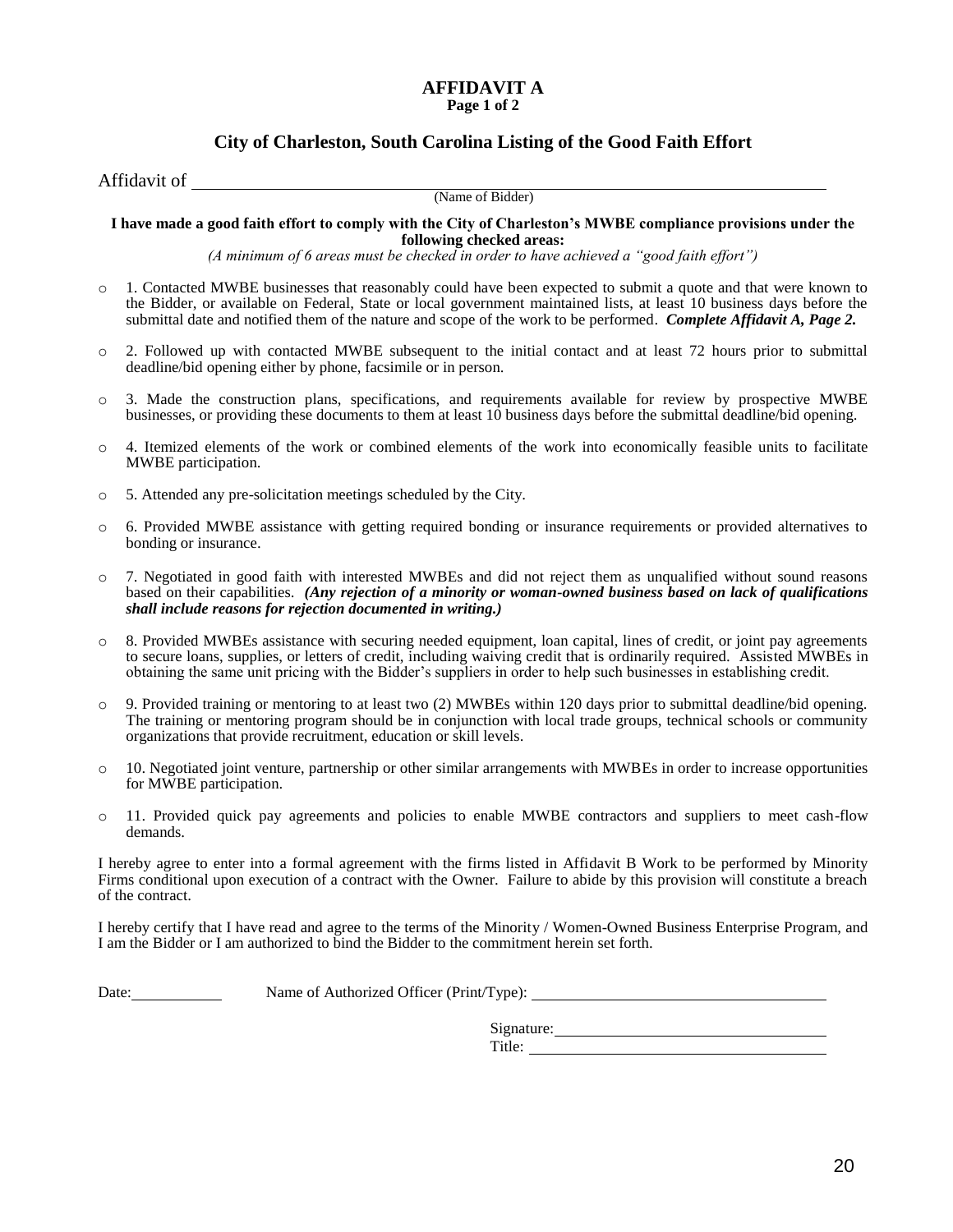# **AFFIDAVIT A**

#### **Page 1 of 2**

#### **City of Charleston, South Carolina Listing of the Good Faith Effort**

Affidavit of \_\_

(Name of Bidder)

**I have made a good faith effort to comply with the City of Charleston's MWBE compliance provisions under the following checked areas:**

*(A minimum of 6 areas must be checked in order to have achieved a "good faith effort")*

- o 1. Contacted MWBE businesses that reasonably could have been expected to submit a quote and that were known to the Bidder, or available on Federal, State or local government maintained lists, at least 10 business days before the submittal date and notified them of the nature and scope of the work to be performed. *Complete Affidavit A, Page 2.*
- o 2. Followed up with contacted MWBE subsequent to the initial contact and at least 72 hours prior to submittal deadline/bid opening either by phone, facsimile or in person.
- o 3. Made the construction plans, specifications, and requirements available for review by prospective MWBE businesses, or providing these documents to them at least 10 business days before the submittal deadline/bid opening.
- o 4. Itemized elements of the work or combined elements of the work into economically feasible units to facilitate MWBE participation.
- o 5. Attended any pre-solicitation meetings scheduled by the City.
- o 6. Provided MWBE assistance with getting required bonding or insurance requirements or provided alternatives to bonding or insurance.
- o 7. Negotiated in good faith with interested MWBEs and did not reject them as unqualified without sound reasons based on their capabilities. *(Any rejection of a minority or woman-owned business based on lack of qualifications shall include reasons for rejection documented in writing.)*
- o 8. Provided MWBEs assistance with securing needed equipment, loan capital, lines of credit, or joint pay agreements to secure loans, supplies, or letters of credit, including waiving credit that is ordinarily required. Assisted MWBEs in obtaining the same unit pricing with the Bidder's suppliers in order to help such businesses in establishing credit.
- o 9. Provided training or mentoring to at least two (2) MWBEs within 120 days prior to submittal deadline/bid opening. The training or mentoring program should be in conjunction with local trade groups, technical schools or community organizations that provide recruitment, education or skill levels.
- o 10. Negotiated joint venture, partnership or other similar arrangements with MWBEs in order to increase opportunities for MWBE participation.
- o 11. Provided quick pay agreements and policies to enable MWBE contractors and suppliers to meet cash-flow demands.

I hereby agree to enter into a formal agreement with the firms listed in Affidavit B Work to be performed by Minority Firms conditional upon execution of a contract with the Owner. Failure to abide by this provision will constitute a breach of the contract.

I hereby certify that I have read and agree to the terms of the Minority / Women-Owned Business Enterprise Program, and I am the Bidder or I am authorized to bind the Bidder to the commitment herein set forth.

Date: Name of Authorized Officer (Print/Type):

| Signature: |  |
|------------|--|
| Title:     |  |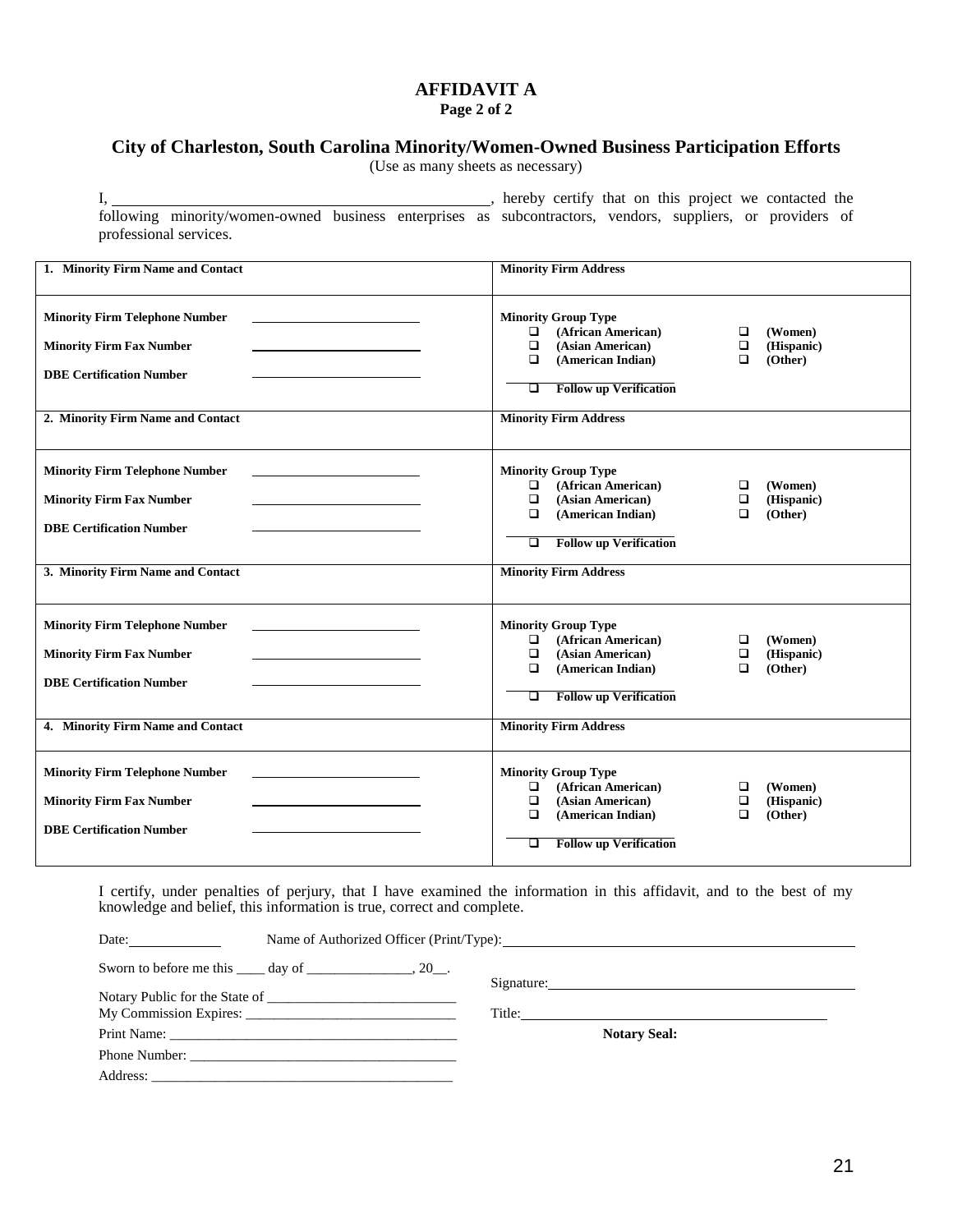#### **AFFIDAVIT A**

**Page 2 of 2**

# **City of Charleston, South Carolina Minority/Women-Owned Business Participation Efforts**

(Use as many sheets as necessary)

following minority/women-owned business enterprises as subcontractors, vendors, suppliers, or providers of professional services.

I,  $\frac{1}{2}$  hereby certify that on this project we contacted the

| 1. Minority Firm Name and Contact                                                                                                                | <b>Minority Firm Address</b>                                                                                                                                                                                                                               |
|--------------------------------------------------------------------------------------------------------------------------------------------------|------------------------------------------------------------------------------------------------------------------------------------------------------------------------------------------------------------------------------------------------------------|
| <b>Minority Firm Telephone Number</b><br><b>Minority Firm Fax Number</b><br><b>DBE Certification Number</b><br>2. Minority Firm Name and Contact | <b>Minority Group Type</b><br>(African American)<br>$\Box$<br>$\Box$<br>(Women)<br>$\Box$<br>(Asian American)<br>$\Box$<br>(Hispanic)<br>(Other)<br>(American Indian)<br>$\Box$<br>□<br><b>Follow up Verification</b><br>❏<br><b>Minority Firm Address</b> |
| <b>Minority Firm Telephone Number</b><br><b>Minority Firm Fax Number</b><br><b>DBE Certification Number</b><br>3. Minority Firm Name and Contact | <b>Minority Group Type</b><br>(African American)<br>□<br>(Women)<br>$\Box$<br>$\Box$<br>$\Box$<br>(Asian American)<br>(Hispanic)<br>(Other)<br>$\Box$<br>(American Indian)<br>◻<br><b>Follow up Verification</b><br>❏<br><b>Minority Firm Address</b>      |
| <b>Minority Firm Telephone Number</b><br><b>Minority Firm Fax Number</b><br><b>DBE Certification Number</b><br>4. Minority Firm Name and Contact | <b>Minority Group Type</b><br>(African American)<br>$\Box$<br>□<br>(Women)<br>$\Box$<br>(Asian American)<br>(Hispanic)<br>$\Box$<br>$\Box$<br>$\Box$<br>(Other)<br>(American Indian)<br><b>Follow up Verification</b><br>□<br><b>Minority Firm Address</b> |
| <b>Minority Firm Telephone Number</b><br><b>Minority Firm Fax Number</b><br><b>DBE Certification Number</b>                                      | <b>Minority Group Type</b><br>(African American)<br>$\Box$<br>(Women)<br>□<br>$\Box$<br>(Asian American)<br>$\Box$<br>(Hispanic)<br>$\Box$<br>(Other)<br>$\Box$<br>(American Indian)<br><b>Follow up Verification</b><br>□                                 |

I certify, under penalties of perjury, that I have examined the information in this affidavit, and to the best of my knowledge and belief, this information is true, correct and complete.

| Date: $\qquad \qquad$ |                                                                           |  |                                                                                                                                                                                                                                |
|-----------------------|---------------------------------------------------------------------------|--|--------------------------------------------------------------------------------------------------------------------------------------------------------------------------------------------------------------------------------|
|                       | Sworn to before me this $\_\_\_$ day of $\_\_\_\_\_\_$ , 20 $\_\_\_\_\$ . |  | Signature: New York Changes and Science of the Changes of the Changes of the Changes of the Changes of the Changes of the Changes of the Changes of the Changes of the Changes of the Changes of the Changes of the Changes of |
|                       |                                                                           |  |                                                                                                                                                                                                                                |
|                       |                                                                           |  | Title: The Commission of the Commission of the Commission of the Commission of the Commission of the Commission of the Commission of the Commission of the Commission of the Commission of the Commission of the Commission of |
|                       |                                                                           |  | <b>Notary Seal:</b>                                                                                                                                                                                                            |
|                       |                                                                           |  |                                                                                                                                                                                                                                |
|                       |                                                                           |  |                                                                                                                                                                                                                                |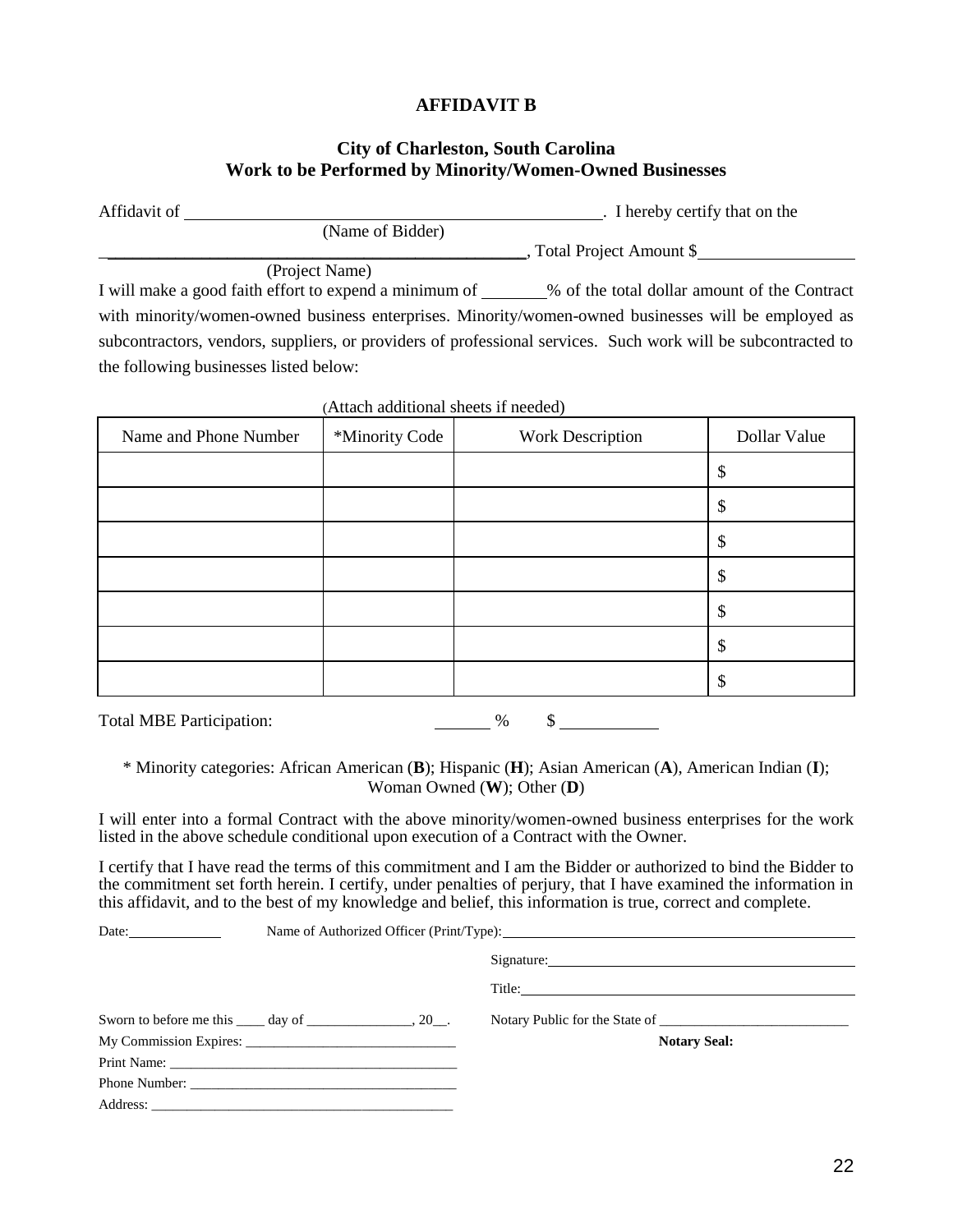#### **AFFIDAVIT B**

#### **City of Charleston, South Carolina Work to be Performed by Minority/Women-Owned Businesses**

| Affidavit of |                  | I hereby certify that on the |
|--------------|------------------|------------------------------|
|              | (Name of Bidder) |                              |
|              |                  | , Total Project Amount \$    |

(Project Name)

I will make a good faith effort to expend a minimum of \_\_\_\_\_\_% of the total dollar amount of the Contract with minority/women-owned business enterprises. Minority/women-owned businesses will be employed as subcontractors, vendors, suppliers, or providers of professional services. Such work will be subcontracted to the following businesses listed below:

| Name and Phone Number<br>*Minority Code |  | <b>Work Description</b> | Dollar Value |
|-----------------------------------------|--|-------------------------|--------------|
|                                         |  |                         | \$           |
|                                         |  |                         | \$           |
|                                         |  |                         | \$           |
|                                         |  |                         | \$           |
|                                         |  |                         | \$           |
|                                         |  |                         | \$           |
|                                         |  |                         | \$           |

(Attach additional sheets if needed)

Total MBE Participation: % \$

\* Minority categories: African American (**B**); Hispanic (**H**); Asian American (**A**), American Indian (**I**); Woman Owned (**W**); Other (**D**)

I will enter into a formal Contract with the above minority/women-owned business enterprises for the work listed in the above schedule conditional upon execution of a Contract with the Owner.

I certify that I have read the terms of this commitment and I am the Bidder or authorized to bind the Bidder to the commitment set forth herein. I certify, under penalties of perjury, that I have examined the information in this affidavit, and to the best of my knowledge and belief, this information is true, correct and complete.

| Date: $\qquad \qquad \qquad$                                         | Name of Authorized Officer (Print/Type): 2008. The material contract of Authorized Officer (Print/Type): |  |                                |
|----------------------------------------------------------------------|----------------------------------------------------------------------------------------------------------|--|--------------------------------|
|                                                                      |                                                                                                          |  | Signature: New York Signature: |
|                                                                      |                                                                                                          |  | Title:                         |
| Sworn to before me this $\qquad \qquad$ day of $\qquad \qquad$ , 20. |                                                                                                          |  | Notary Public for the State of |
|                                                                      |                                                                                                          |  | <b>Notary Seal:</b>            |
|                                                                      |                                                                                                          |  |                                |
|                                                                      |                                                                                                          |  |                                |
|                                                                      |                                                                                                          |  |                                |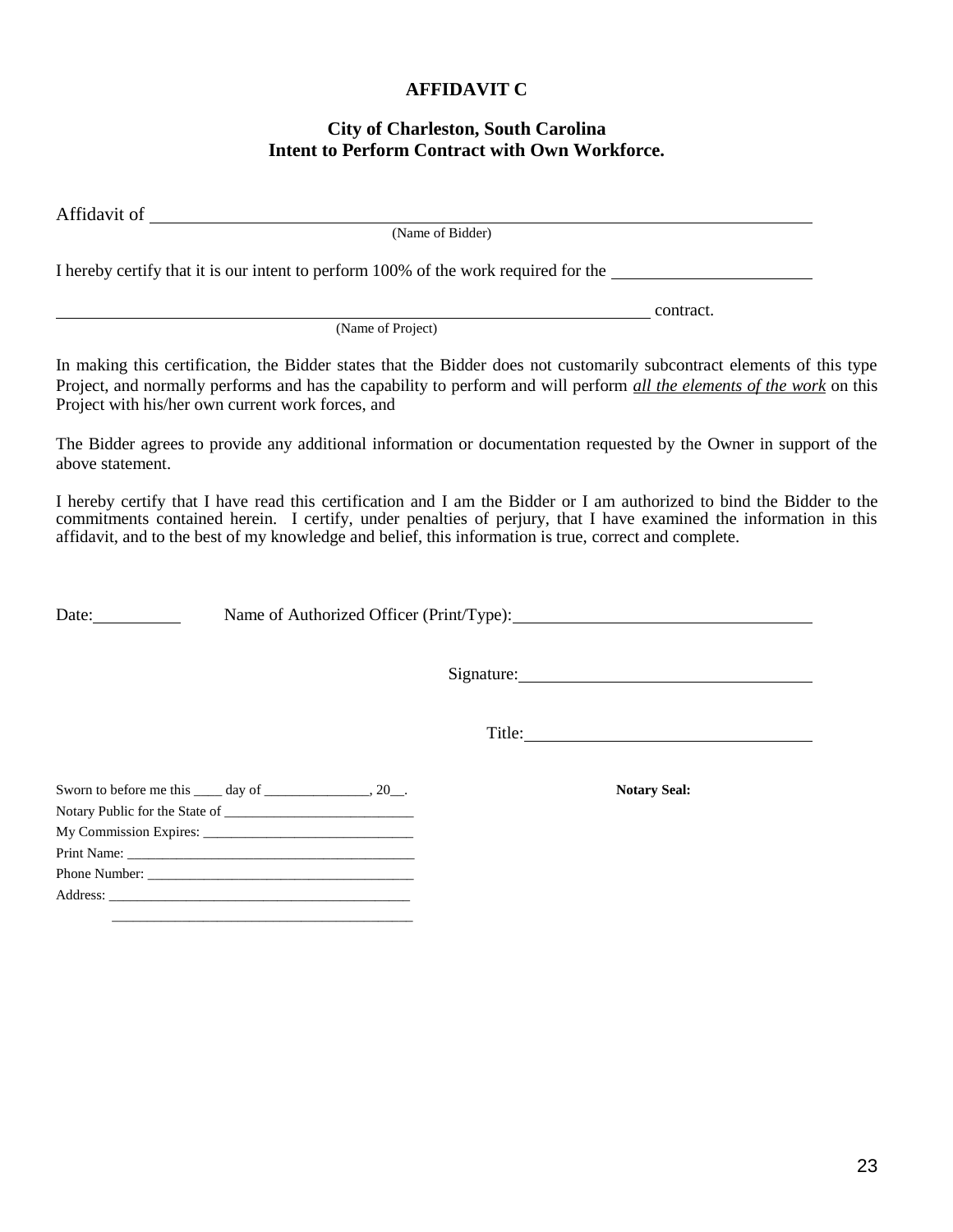#### **AFFIDAVIT C**

## **City of Charleston, South Carolina Intent to Perform Contract with Own Workforce.**

Affidavit of

(Name of Bidder)

I hereby certify that it is our intent to perform 100% of the work required for the

(Name of Project)

In making this certification, the Bidder states that the Bidder does not customarily subcontract elements of this type Project, and normally performs and has the capability to perform and will perform *all the elements of the work* on this Project with his/her own current work forces, and

The Bidder agrees to provide any additional information or documentation requested by the Owner in support of the above statement.

I hereby certify that I have read this certification and I am the Bidder or I am authorized to bind the Bidder to the commitments contained herein. I certify, under penalties of perjury, that I have examined the information in this affidavit, and to the best of my knowledge and belief, this information is true, correct and complete.

Date: Name of Authorized Officer (Print/Type):

Signature:

contract.

Title:

| Sworn to before me this $\qquad \qquad$ day of $\qquad \qquad$ , 20. |
|----------------------------------------------------------------------|
|                                                                      |
|                                                                      |
|                                                                      |
|                                                                      |
|                                                                      |
|                                                                      |

\_\_\_\_\_\_\_\_\_\_\_\_\_\_\_\_\_\_\_\_\_\_\_\_\_\_\_\_\_\_\_\_\_\_\_\_\_\_\_\_\_\_\_

**Notary Seal:**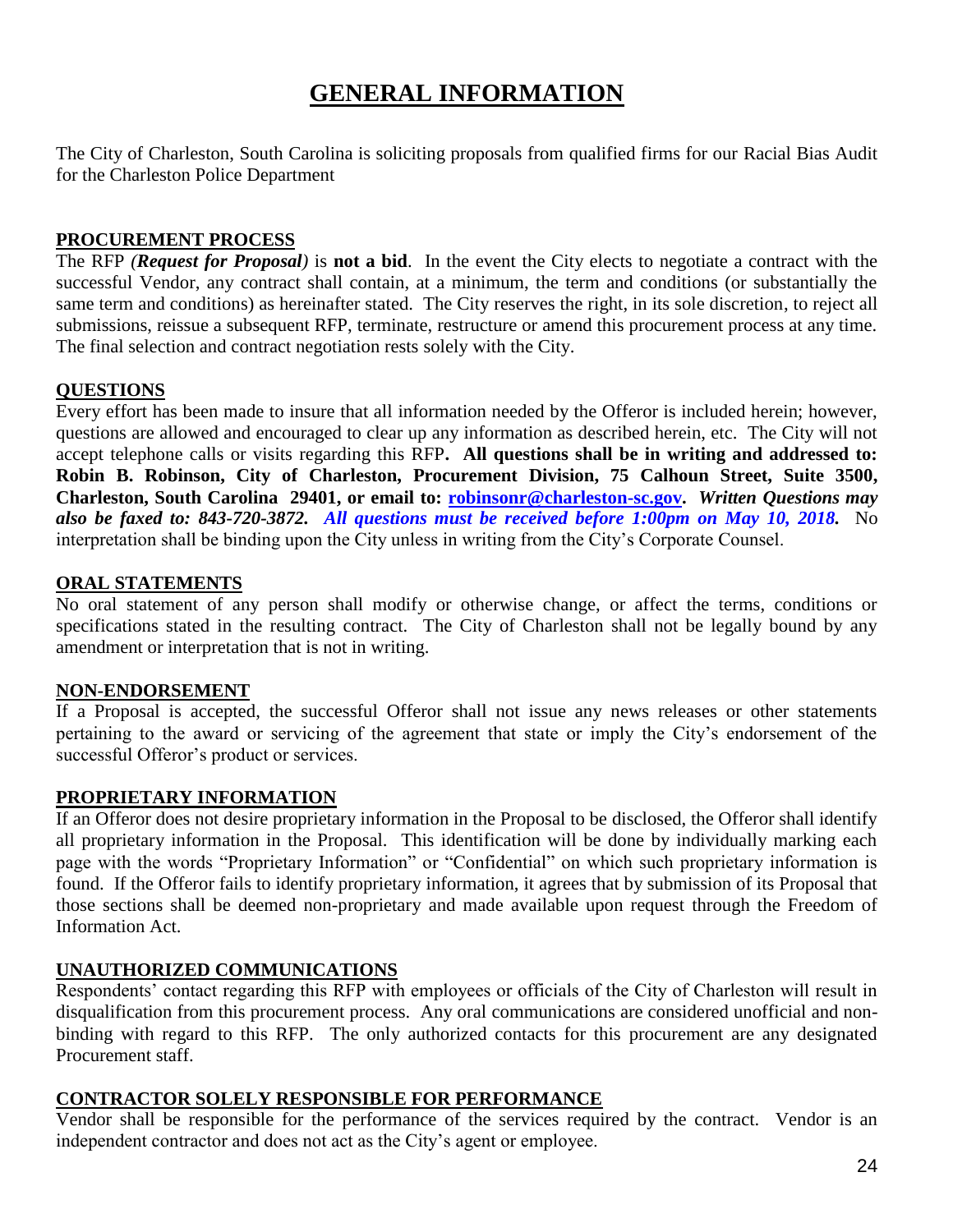# **GENERAL INFORMATION**

The City of Charleston, South Carolina is soliciting proposals from qualified firms for our Racial Bias Audit for the Charleston Police Department

# **PROCUREMENT PROCESS**

The RFP *(Request for Proposal)* is **not a bid**. In the event the City elects to negotiate a contract with the successful Vendor, any contract shall contain, at a minimum, the term and conditions (or substantially the same term and conditions) as hereinafter stated. The City reserves the right, in its sole discretion, to reject all submissions, reissue a subsequent RFP, terminate, restructure or amend this procurement process at any time. The final selection and contract negotiation rests solely with the City.

# **QUESTIONS**

Every effort has been made to insure that all information needed by the Offeror is included herein; however, questions are allowed and encouraged to clear up any information as described herein, etc. The City will not accept telephone calls or visits regarding this RFP**. All questions shall be in writing and addressed to: Robin B. Robinson, City of Charleston, Procurement Division, 75 Calhoun Street, Suite 3500, Charleston, South Carolina 29401, or email to: [robinsonr@charleston-sc.gov.](mailto:robinsonr@charleston-sc.gov)** *Written Questions may also be faxed to: 843-720-3872. All questions must be received before 1:00pm on May 10, 2018.* No interpretation shall be binding upon the City unless in writing from the City's Corporate Counsel.

# **ORAL STATEMENTS**

No oral statement of any person shall modify or otherwise change, or affect the terms, conditions or specifications stated in the resulting contract. The City of Charleston shall not be legally bound by any amendment or interpretation that is not in writing.

# **NON-ENDORSEMENT**

If a Proposal is accepted, the successful Offeror shall not issue any news releases or other statements pertaining to the award or servicing of the agreement that state or imply the City's endorsement of the successful Offeror's product or services.

# **PROPRIETARY INFORMATION**

If an Offeror does not desire proprietary information in the Proposal to be disclosed, the Offeror shall identify all proprietary information in the Proposal. This identification will be done by individually marking each page with the words "Proprietary Information" or "Confidential" on which such proprietary information is found. If the Offeror fails to identify proprietary information, it agrees that by submission of its Proposal that those sections shall be deemed non-proprietary and made available upon request through the Freedom of Information Act.

# **UNAUTHORIZED COMMUNICATIONS**

Respondents' contact regarding this RFP with employees or officials of the City of Charleston will result in disqualification from this procurement process. Any oral communications are considered unofficial and nonbinding with regard to this RFP. The only authorized contacts for this procurement are any designated Procurement staff.

# **CONTRACTOR SOLELY RESPONSIBLE FOR PERFORMANCE**

Vendor shall be responsible for the performance of the services required by the contract. Vendor is an independent contractor and does not act as the City's agent or employee.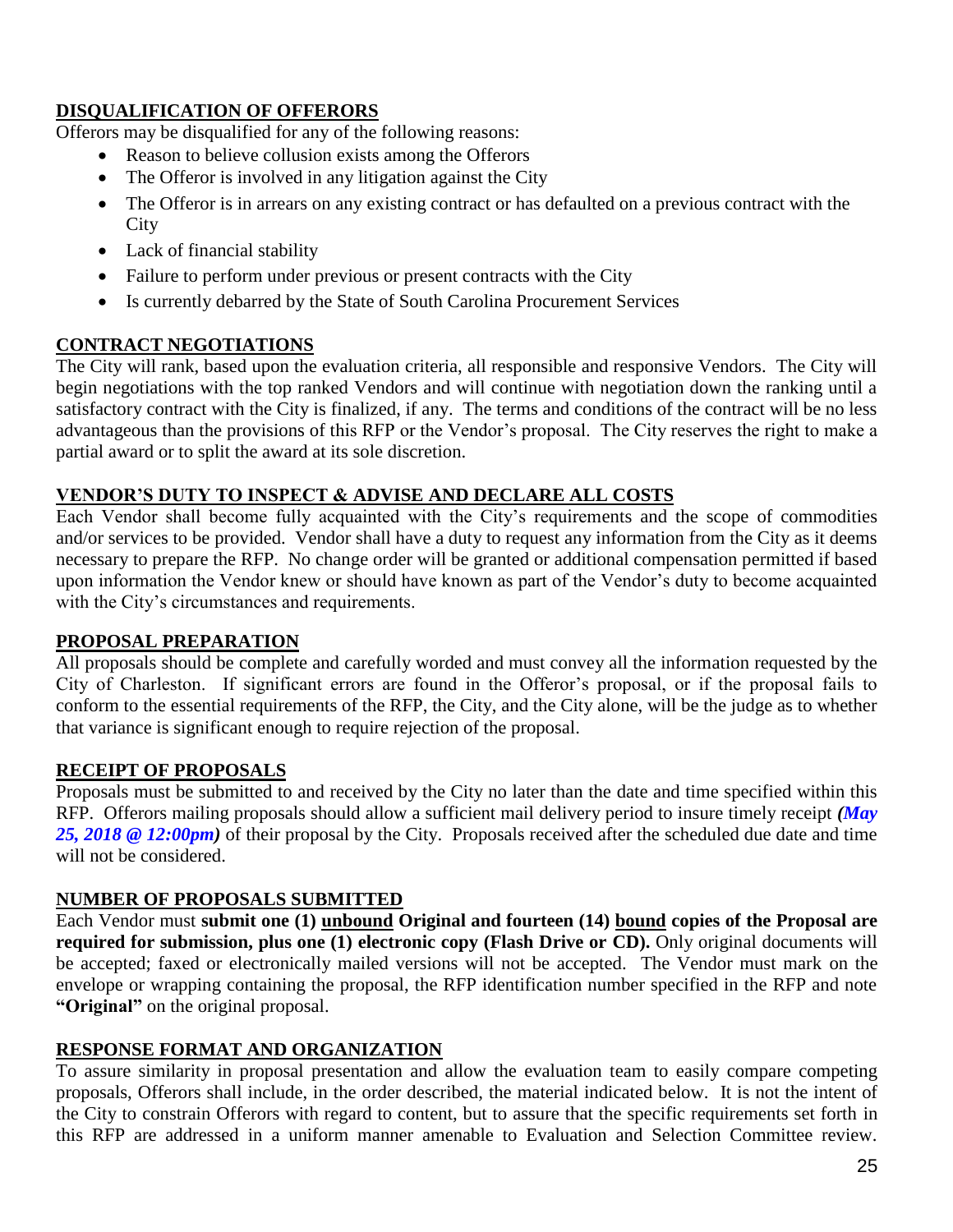# **DISQUALIFICATION OF OFFERORS**

Offerors may be disqualified for any of the following reasons:

- Reason to believe collusion exists among the Offerors
- The Offeror is involved in any litigation against the City
- The Offeror is in arrears on any existing contract or has defaulted on a previous contract with the City
- Lack of financial stability
- Failure to perform under previous or present contracts with the City
- Is currently debarred by the State of South Carolina Procurement Services

# **CONTRACT NEGOTIATIONS**

The City will rank, based upon the evaluation criteria, all responsible and responsive Vendors. The City will begin negotiations with the top ranked Vendors and will continue with negotiation down the ranking until a satisfactory contract with the City is finalized, if any. The terms and conditions of the contract will be no less advantageous than the provisions of this RFP or the Vendor's proposal. The City reserves the right to make a partial award or to split the award at its sole discretion.

# **VENDOR'S DUTY TO INSPECT & ADVISE AND DECLARE ALL COSTS**

Each Vendor shall become fully acquainted with the City's requirements and the scope of commodities and/or services to be provided. Vendor shall have a duty to request any information from the City as it deems necessary to prepare the RFP. No change order will be granted or additional compensation permitted if based upon information the Vendor knew or should have known as part of the Vendor's duty to become acquainted with the City's circumstances and requirements.

# **PROPOSAL PREPARATION**

All proposals should be complete and carefully worded and must convey all the information requested by the City of Charleston. If significant errors are found in the Offeror's proposal, or if the proposal fails to conform to the essential requirements of the RFP, the City, and the City alone, will be the judge as to whether that variance is significant enough to require rejection of the proposal.

# **RECEIPT OF PROPOSALS**

Proposals must be submitted to and received by the City no later than the date and time specified within this RFP. Offerors mailing proposals should allow a sufficient mail delivery period to insure timely receipt *(May 25, 2018 @ 12:00pm)* of their proposal by the City. Proposals received after the scheduled due date and time will not be considered.

# **NUMBER OF PROPOSALS SUBMITTED**

Each Vendor must **submit one (1) unbound Original and fourteen (14) bound copies of the Proposal are required for submission, plus one (1) electronic copy (Flash Drive or CD).** Only original documents will be accepted; faxed or electronically mailed versions will not be accepted. The Vendor must mark on the envelope or wrapping containing the proposal, the RFP identification number specified in the RFP and note **"Original"** on the original proposal.

# **RESPONSE FORMAT AND ORGANIZATION**

To assure similarity in proposal presentation and allow the evaluation team to easily compare competing proposals, Offerors shall include, in the order described, the material indicated below. It is not the intent of the City to constrain Offerors with regard to content, but to assure that the specific requirements set forth in this RFP are addressed in a uniform manner amenable to Evaluation and Selection Committee review.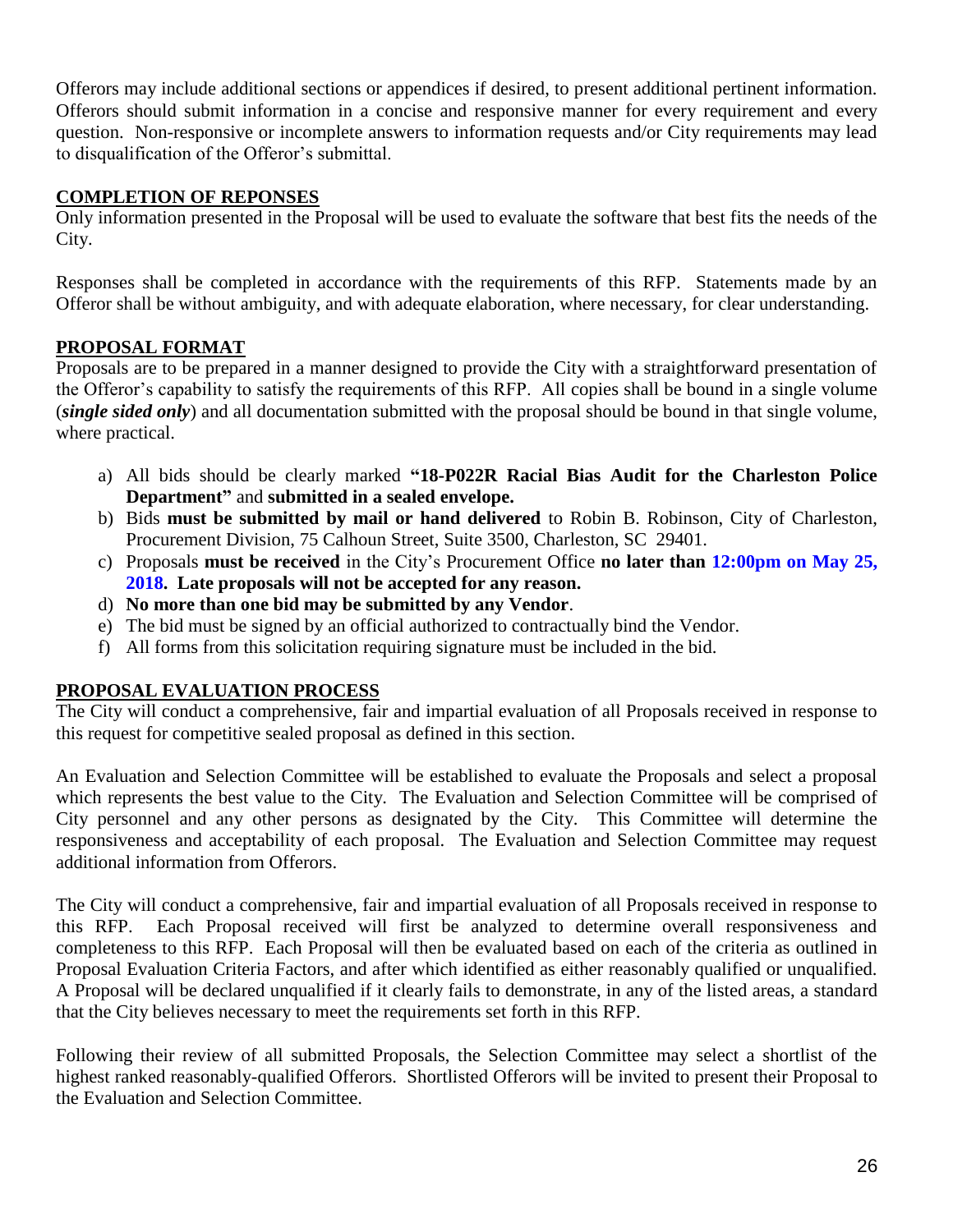Offerors may include additional sections or appendices if desired, to present additional pertinent information. Offerors should submit information in a concise and responsive manner for every requirement and every question. Non-responsive or incomplete answers to information requests and/or City requirements may lead to disqualification of the Offeror's submittal.

# **COMPLETION OF REPONSES**

Only information presented in the Proposal will be used to evaluate the software that best fits the needs of the City.

Responses shall be completed in accordance with the requirements of this RFP. Statements made by an Offeror shall be without ambiguity, and with adequate elaboration, where necessary, for clear understanding.

# **PROPOSAL FORMAT**

Proposals are to be prepared in a manner designed to provide the City with a straightforward presentation of the Offeror's capability to satisfy the requirements of this RFP. All copies shall be bound in a single volume (*single sided only*) and all documentation submitted with the proposal should be bound in that single volume, where practical.

- a) All bids should be clearly marked **"18-P022R Racial Bias Audit for the Charleston Police Department"** and **submitted in a sealed envelope.**
- b) Bids **must be submitted by mail or hand delivered** to Robin B. Robinson, City of Charleston, Procurement Division, 75 Calhoun Street, Suite 3500, Charleston, SC 29401.
- c) Proposals **must be received** in the City's Procurement Office **no later than 12:00pm on May 25, 2018. Late proposals will not be accepted for any reason.**
- d) **No more than one bid may be submitted by any Vendor**.
- e) The bid must be signed by an official authorized to contractually bind the Vendor.
- f) All forms from this solicitation requiring signature must be included in the bid.

# **PROPOSAL EVALUATION PROCESS**

The City will conduct a comprehensive, fair and impartial evaluation of all Proposals received in response to this request for competitive sealed proposal as defined in this section.

An Evaluation and Selection Committee will be established to evaluate the Proposals and select a proposal which represents the best value to the City. The Evaluation and Selection Committee will be comprised of City personnel and any other persons as designated by the City. This Committee will determine the responsiveness and acceptability of each proposal. The Evaluation and Selection Committee may request additional information from Offerors.

The City will conduct a comprehensive, fair and impartial evaluation of all Proposals received in response to this RFP. Each Proposal received will first be analyzed to determine overall responsiveness and completeness to this RFP. Each Proposal will then be evaluated based on each of the criteria as outlined in Proposal Evaluation Criteria Factors, and after which identified as either reasonably qualified or unqualified. A Proposal will be declared unqualified if it clearly fails to demonstrate, in any of the listed areas, a standard that the City believes necessary to meet the requirements set forth in this RFP.

Following their review of all submitted Proposals, the Selection Committee may select a shortlist of the highest ranked reasonably-qualified Offerors. Shortlisted Offerors will be invited to present their Proposal to the Evaluation and Selection Committee.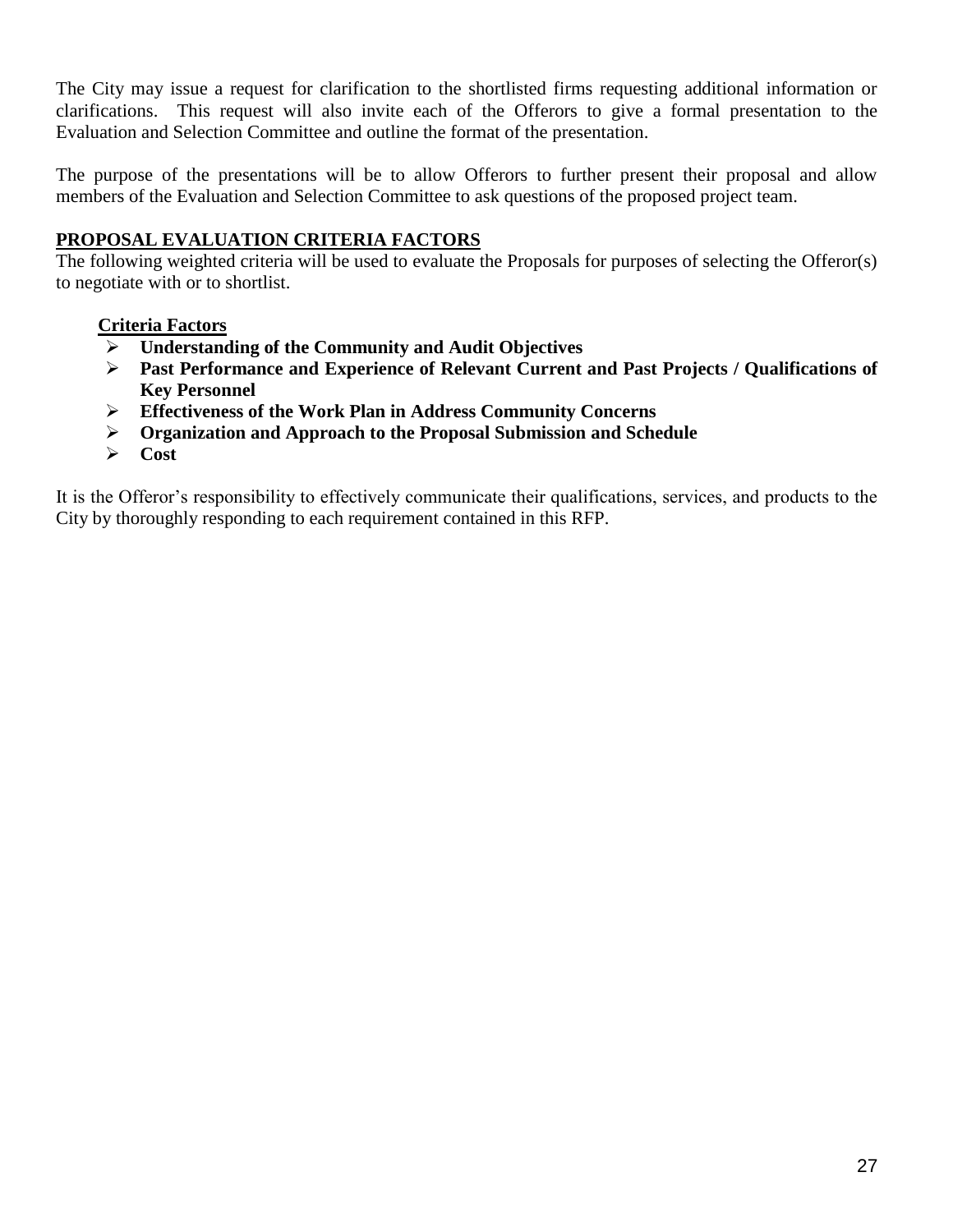The City may issue a request for clarification to the shortlisted firms requesting additional information or clarifications. This request will also invite each of the Offerors to give a formal presentation to the Evaluation and Selection Committee and outline the format of the presentation.

The purpose of the presentations will be to allow Offerors to further present their proposal and allow members of the Evaluation and Selection Committee to ask questions of the proposed project team.

# **PROPOSAL EVALUATION CRITERIA FACTORS**

The following weighted criteria will be used to evaluate the Proposals for purposes of selecting the Offeror(s) to negotiate with or to shortlist.

# **Criteria Factors**

- **Understanding of the Community and Audit Objectives**
- **Past Performance and Experience of Relevant Current and Past Projects / Qualifications of Key Personnel**
- **Effectiveness of the Work Plan in Address Community Concerns**
- **Organization and Approach to the Proposal Submission and Schedule**
- **Cost**

It is the Offeror's responsibility to effectively communicate their qualifications, services, and products to the City by thoroughly responding to each requirement contained in this RFP.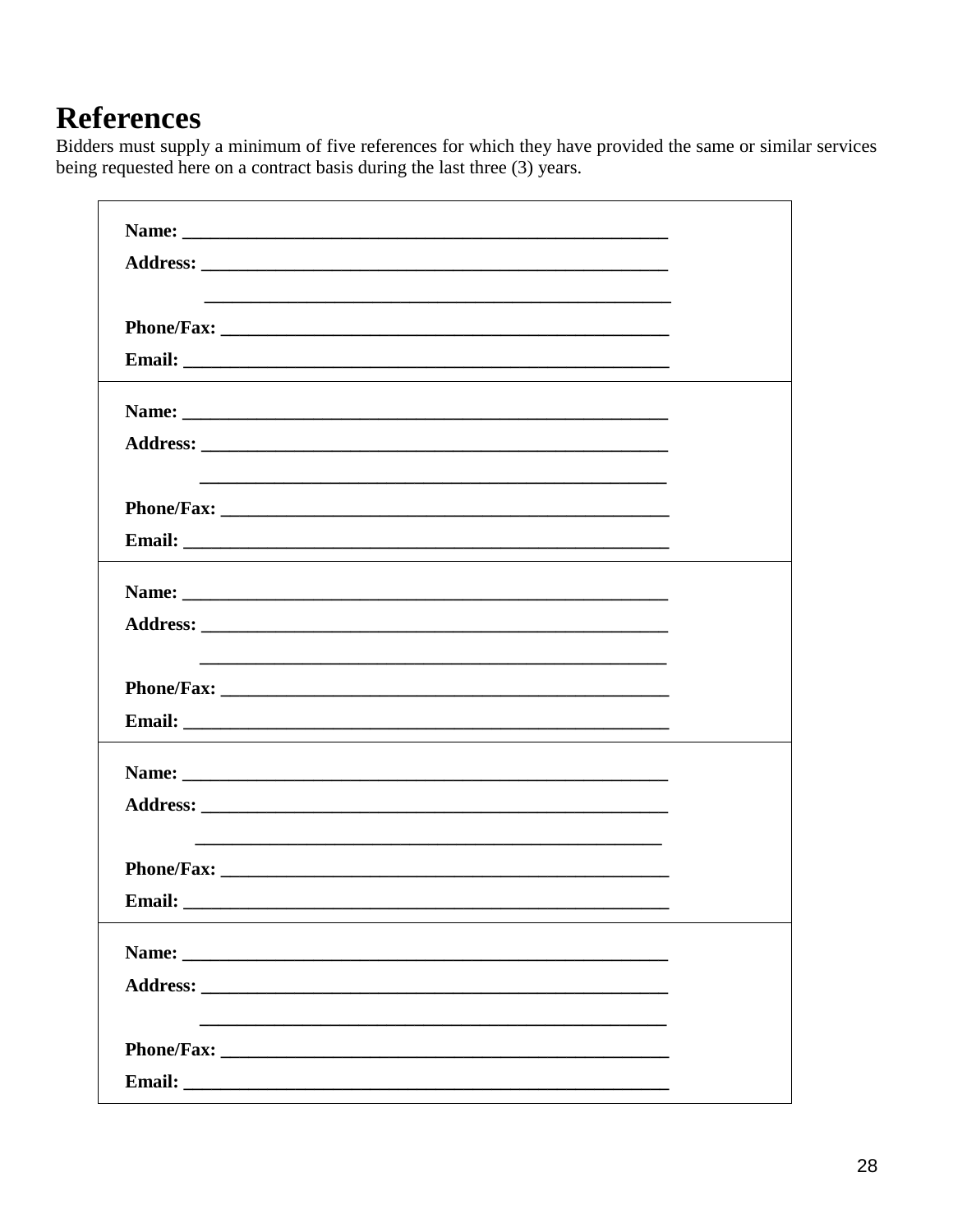# **References**

Bidders must supply a minimum of five references for which they have provided the same or similar services being requested here on a contract basis during the last three (3) years.

| Name:  |  |
|--------|--|
|        |  |
|        |  |
|        |  |
|        |  |
| Email: |  |
|        |  |
|        |  |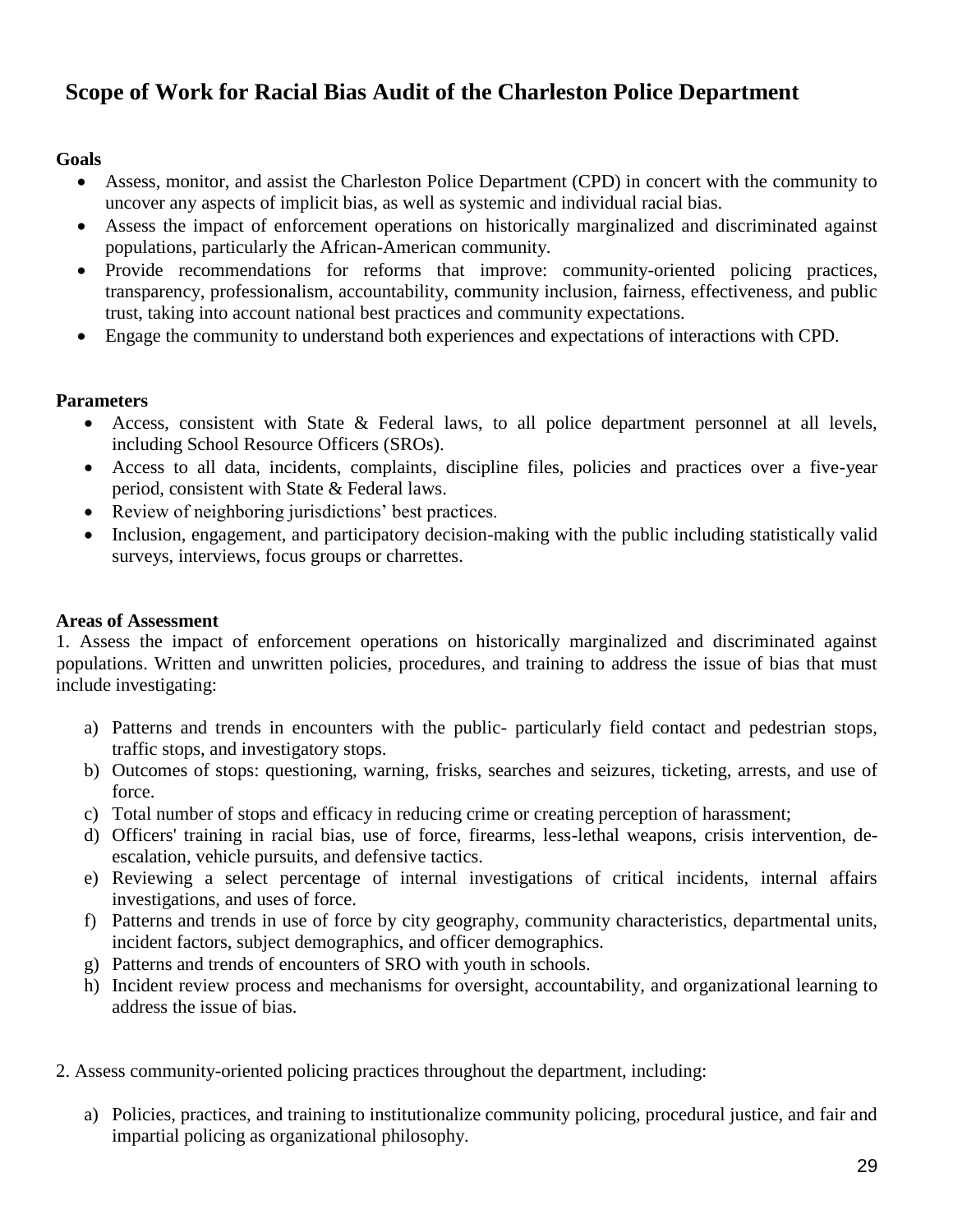# **Scope of Work for Racial Bias Audit of the Charleston Police Department**

# **Goals**

- Assess, monitor, and assist the Charleston Police Department (CPD) in concert with the community to uncover any aspects of implicit bias, as well as systemic and individual racial bias.
- Assess the impact of enforcement operations on historically marginalized and discriminated against populations, particularly the African-American community.
- Provide recommendations for reforms that improve: community-oriented policing practices, transparency, professionalism, accountability, community inclusion, fairness, effectiveness, and public trust, taking into account national best practices and community expectations.
- Engage the community to understand both experiences and expectations of interactions with CPD.

# **Parameters**

- Access, consistent with State & Federal laws, to all police department personnel at all levels, including School Resource Officers (SROs).
- Access to all data, incidents, complaints, discipline files, policies and practices over a five-year period, consistent with State & Federal laws.
- Review of neighboring jurisdictions' best practices.
- Inclusion, engagement, and participatory decision-making with the public including statistically valid surveys, interviews, focus groups or charrettes.

# **Areas of Assessment**

1. Assess the impact of enforcement operations on historically marginalized and discriminated against populations. Written and unwritten policies, procedures, and training to address the issue of bias that must include investigating:

- a) Patterns and trends in encounters with the public- particularly field contact and pedestrian stops, traffic stops, and investigatory stops.
- b) Outcomes of stops: questioning, warning, frisks, searches and seizures, ticketing, arrests, and use of force.
- c) Total number of stops and efficacy in reducing crime or creating perception of harassment;
- d) Officers' training in racial bias, use of force, firearms, less-lethal weapons, crisis intervention, deescalation, vehicle pursuits, and defensive tactics.
- e) Reviewing a select percentage of internal investigations of critical incidents, internal affairs investigations, and uses of force.
- f) Patterns and trends in use of force by city geography, community characteristics, departmental units, incident factors, subject demographics, and officer demographics.
- g) Patterns and trends of encounters of SRO with youth in schools.
- h) Incident review process and mechanisms for oversight, accountability, and organizational learning to address the issue of bias.
- 2. Assess community-oriented policing practices throughout the department, including:
	- a) Policies, practices, and training to institutionalize community policing, procedural justice, and fair and impartial policing as organizational philosophy.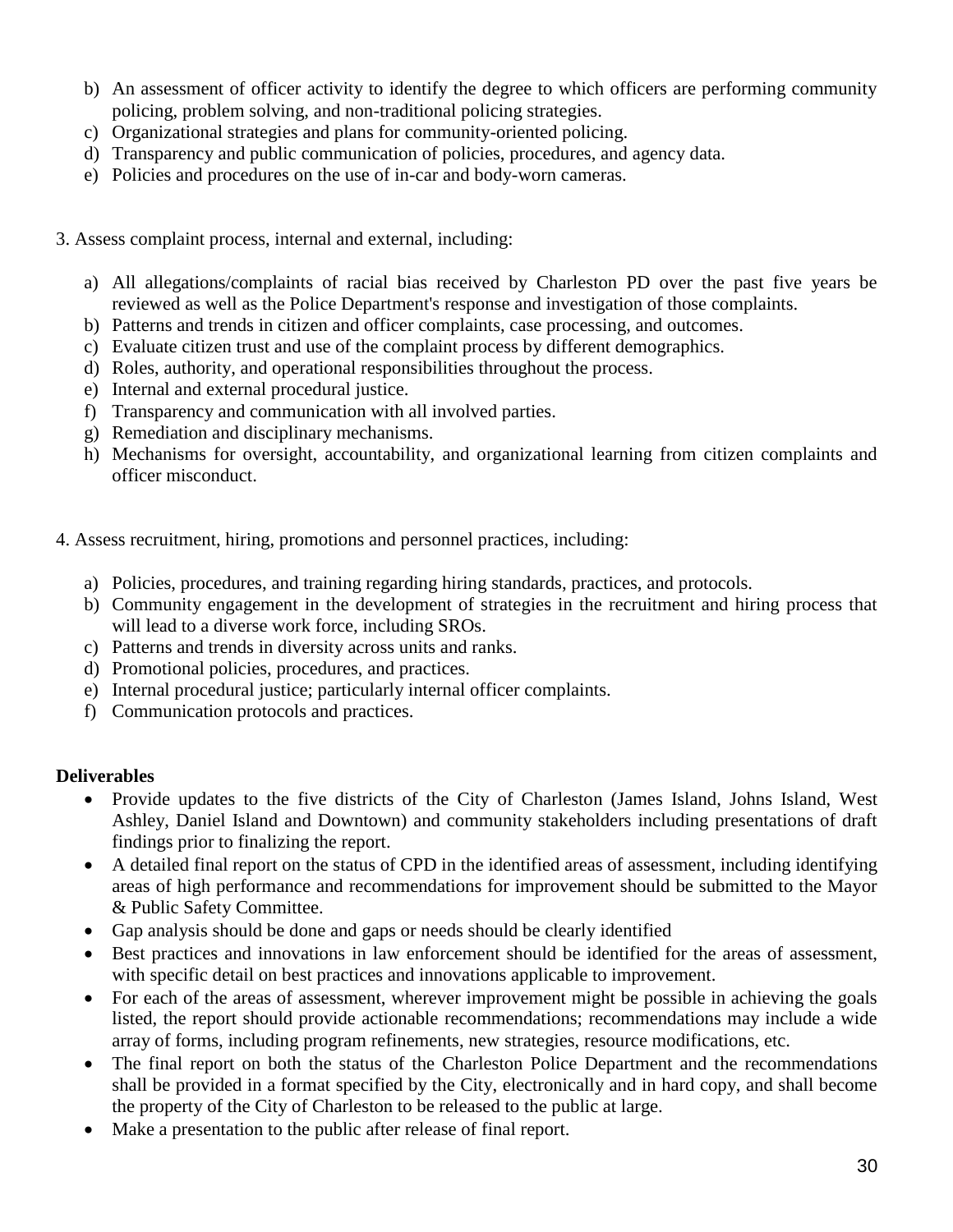- b) An assessment of officer activity to identify the degree to which officers are performing community policing, problem solving, and non-traditional policing strategies.
- c) Organizational strategies and plans for community-oriented policing.
- d) Transparency and public communication of policies, procedures, and agency data.
- e) Policies and procedures on the use of in-car and body-worn cameras.
- 3. Assess complaint process, internal and external, including:
	- a) All allegations/complaints of racial bias received by Charleston PD over the past five years be reviewed as well as the Police Department's response and investigation of those complaints.
	- b) Patterns and trends in citizen and officer complaints, case processing, and outcomes.
	- c) Evaluate citizen trust and use of the complaint process by different demographics.
	- d) Roles, authority, and operational responsibilities throughout the process.
	- e) Internal and external procedural justice.
	- f) Transparency and communication with all involved parties.
	- g) Remediation and disciplinary mechanisms.
	- h) Mechanisms for oversight, accountability, and organizational learning from citizen complaints and officer misconduct.
- 4. Assess recruitment, hiring, promotions and personnel practices, including:
	- a) Policies, procedures, and training regarding hiring standards, practices, and protocols.
	- b) Community engagement in the development of strategies in the recruitment and hiring process that will lead to a diverse work force, including SROs.
	- c) Patterns and trends in diversity across units and ranks.
	- d) Promotional policies, procedures, and practices.
	- e) Internal procedural justice; particularly internal officer complaints.
	- f) Communication protocols and practices.

#### **Deliverables**

- Provide updates to the five districts of the City of Charleston (James Island, Johns Island, West Ashley, Daniel Island and Downtown) and community stakeholders including presentations of draft findings prior to finalizing the report.
- A detailed final report on the status of CPD in the identified areas of assessment, including identifying areas of high performance and recommendations for improvement should be submitted to the Mayor & Public Safety Committee.
- Gap analysis should be done and gaps or needs should be clearly identified
- Best practices and innovations in law enforcement should be identified for the areas of assessment, with specific detail on best practices and innovations applicable to improvement.
- For each of the areas of assessment, wherever improvement might be possible in achieving the goals listed, the report should provide actionable recommendations; recommendations may include a wide array of forms, including program refinements, new strategies, resource modifications, etc.
- The final report on both the status of the Charleston Police Department and the recommendations shall be provided in a format specified by the City, electronically and in hard copy, and shall become the property of the City of Charleston to be released to the public at large.
- Make a presentation to the public after release of final report.